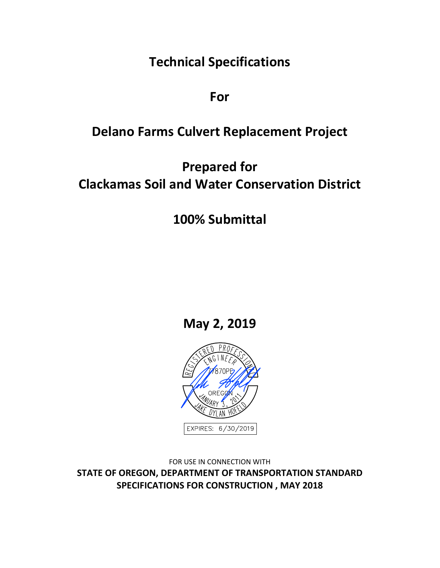**Technical Specifications** 

**For** 

# **Delano Farms Culvert Replacement Project**

# **Prepared for Clackamas Soil and Water Conservation District**

# **100% Submittal**

**May 2, 2019** 



FOR USE IN CONNECTION WITH **STATE OF OREGON, DEPARTMENT OF TRANSPORTATION STANDARD SPECIFICATIONS FOR CONSTRUCTION , MAY 2018**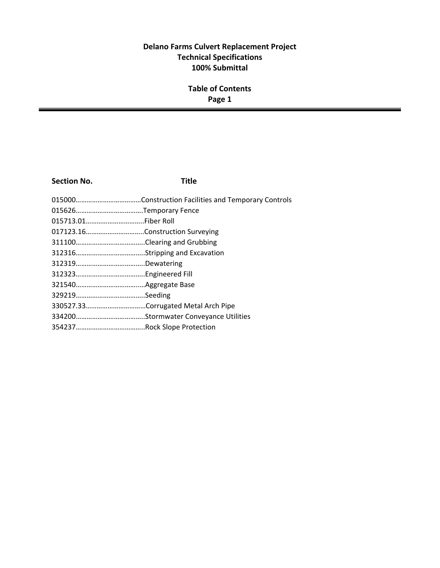### **Delano Farms Culvert Replacement Project Technical Specifications 100% Submittal**

### **Table of Contents Page 1**

#### **Section No.** Title

| 017123.16Construction Surveying |  |
|---------------------------------|--|
|                                 |  |
|                                 |  |
|                                 |  |
|                                 |  |
|                                 |  |
|                                 |  |
|                                 |  |
|                                 |  |
|                                 |  |
|                                 |  |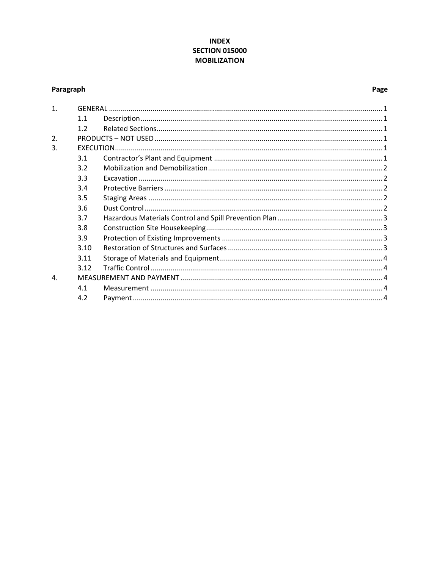#### **INDEX SECTION 015000 MOBILIZATION**

### Paragraph

#### Page

| $\mathbf{1}$ . |      |  |  |
|----------------|------|--|--|
|                | 1.1  |  |  |
|                | 1.2  |  |  |
| 2.             |      |  |  |
| 3.             |      |  |  |
|                | 3.1  |  |  |
|                | 3.2  |  |  |
|                | 3.3  |  |  |
|                | 3.4  |  |  |
|                | 3.5  |  |  |
|                | 3.6  |  |  |
|                | 3.7  |  |  |
|                | 3.8  |  |  |
|                | 3.9  |  |  |
|                | 3.10 |  |  |
|                | 3.11 |  |  |
|                | 3.12 |  |  |
| 4.             |      |  |  |
|                | 4.1  |  |  |
|                | 4.2  |  |  |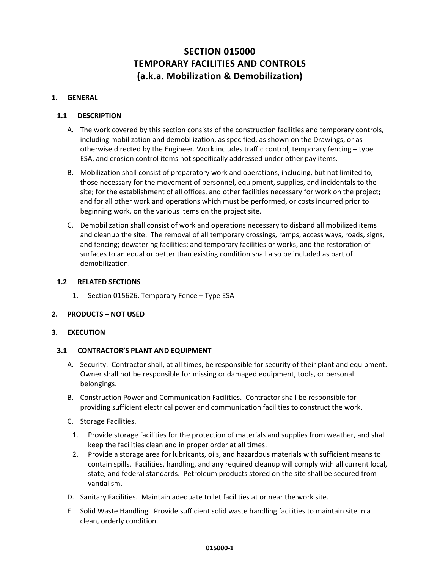### **SECTION 015000 TEMPORARY FACILITIES AND CONTROLS (a.k.a. Mobilization & Demobilization)**

#### **1. GENERAL**

#### **1.1 DESCRIPTION**

- A. The work covered by this section consists of the construction facilities and temporary controls, including mobilization and demobilization, as specified, as shown on the Drawings, or as otherwise directed by the Engineer. Work includes traffic control, temporary fencing – type ESA, and erosion control items not specifically addressed under other pay items.
- B. Mobilization shall consist of preparatory work and operations, including, but not limited to, those necessary for the movement of personnel, equipment, supplies, and incidentals to the site; for the establishment of all offices, and other facilities necessary for work on the project; and for all other work and operations which must be performed, or costs incurred prior to beginning work, on the various items on the project site.
- C. Demobilization shall consist of work and operations necessary to disband all mobilized items and cleanup the site. The removal of all temporary crossings, ramps, access ways, roads, signs, and fencing; dewatering facilities; and temporary facilities or works, and the restoration of surfaces to an equal or better than existing condition shall also be included as part of demobilization.

#### **1.2 RELATED SECTIONS**

1. Section 015626, Temporary Fence – Type ESA

#### **2. PRODUCTS – NOT USED**

#### **3. EXECUTION**

#### **3.1 CONTRACTOR'S PLANT AND EQUIPMENT**

- A. Security. Contractor shall, at all times, be responsible for security of their plant and equipment. Owner shall not be responsible for missing or damaged equipment, tools, or personal belongings.
- B. Construction Power and Communication Facilities. Contractor shall be responsible for providing sufficient electrical power and communication facilities to construct the work.
- C. Storage Facilities.
	- 1. Provide storage facilities for the protection of materials and supplies from weather, and shall keep the facilities clean and in proper order at all times.
	- 2. Provide a storage area for lubricants, oils, and hazardous materials with sufficient means to contain spills. Facilities, handling, and any required cleanup will comply with all current local, state, and federal standards. Petroleum products stored on the site shall be secured from vandalism.
- D. Sanitary Facilities. Maintain adequate toilet facilities at or near the work site.
- E. Solid Waste Handling. Provide sufficient solid waste handling facilities to maintain site in a clean, orderly condition.

#### **015000‐1**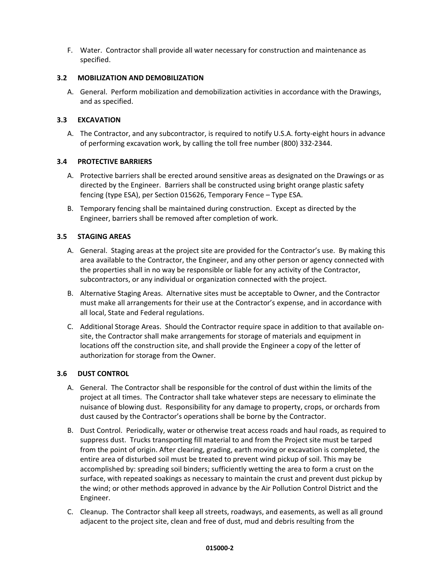F. Water. Contractor shall provide all water necessary for construction and maintenance as specified.

#### **3.2 MOBILIZATION AND DEMOBILIZATION**

A. General. Perform mobilization and demobilization activities in accordance with the Drawings, and as specified.

#### **3.3 EXCAVATION**

A. The Contractor, and any subcontractor, is required to notify U.S.A. forty‐eight hours in advance of performing excavation work, by calling the toll free number (800) 332‐2344.

#### **3.4 PROTECTIVE BARRIERS**

- A. Protective barriers shall be erected around sensitive areas as designated on the Drawings or as directed by the Engineer. Barriers shall be constructed using bright orange plastic safety fencing (type ESA), per Section 015626, Temporary Fence – Type ESA.
- B. Temporary fencing shall be maintained during construction. Except as directed by the Engineer, barriers shall be removed after completion of work.

#### **3.5 STAGING AREAS**

- A. General. Staging areas at the project site are provided for the Contractor's use. By making this area available to the Contractor, the Engineer, and any other person or agency connected with the properties shall in no way be responsible or liable for any activity of the Contractor, subcontractors, or any individual or organization connected with the project.
- B. Alternative Staging Areas. Alternative sites must be acceptable to Owner, and the Contractor must make all arrangements for their use at the Contractor's expense, and in accordance with all local, State and Federal regulations.
- C. Additional Storage Areas. Should the Contractor require space in addition to that available on‐ site, the Contractor shall make arrangements for storage of materials and equipment in locations off the construction site, and shall provide the Engineer a copy of the letter of authorization for storage from the Owner.

#### **3.6 DUST CONTROL**

- A. General. The Contractor shall be responsible for the control of dust within the limits of the project at all times. The Contractor shall take whatever steps are necessary to eliminate the nuisance of blowing dust. Responsibility for any damage to property, crops, or orchards from dust caused by the Contractor's operations shall be borne by the Contractor.
- B. Dust Control. Periodically, water or otherwise treat access roads and haul roads, as required to suppress dust. Trucks transporting fill material to and from the Project site must be tarped from the point of origin. After clearing, grading, earth moving or excavation is completed, the entire area of disturbed soil must be treated to prevent wind pickup of soil. This may be accomplished by: spreading soil binders; sufficiently wetting the area to form a crust on the surface, with repeated soakings as necessary to maintain the crust and prevent dust pickup by the wind; or other methods approved in advance by the Air Pollution Control District and the Engineer.
- C. Cleanup. The Contractor shall keep all streets, roadways, and easements, as well as all ground adjacent to the project site, clean and free of dust, mud and debris resulting from the

#### **015000‐2**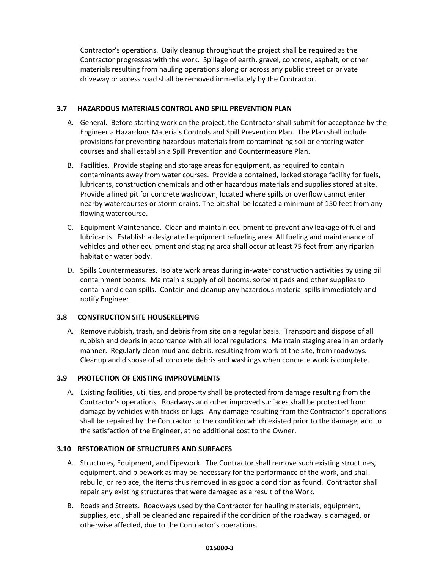Contractor's operations. Daily cleanup throughout the project shall be required as the Contractor progresses with the work. Spillage of earth, gravel, concrete, asphalt, or other materials resulting from hauling operations along or across any public street or private driveway or access road shall be removed immediately by the Contractor.

#### **3.7 HAZARDOUS MATERIALS CONTROL AND SPILL PREVENTION PLAN**

- A. General. Before starting work on the project, the Contractor shall submit for acceptance by the Engineer a Hazardous Materials Controls and Spill Prevention Plan. The Plan shall include provisions for preventing hazardous materials from contaminating soil or entering water courses and shall establish a Spill Prevention and Countermeasure Plan.
- B. Facilities. Provide staging and storage areas for equipment, as required to contain contaminants away from water courses. Provide a contained, locked storage facility for fuels, lubricants, construction chemicals and other hazardous materials and supplies stored at site. Provide a lined pit for concrete washdown, located where spills or overflow cannot enter nearby watercourses or storm drains. The pit shall be located a minimum of 150 feet from any flowing watercourse.
- C. Equipment Maintenance. Clean and maintain equipment to prevent any leakage of fuel and lubricants. Establish a designated equipment refueling area. All fueling and maintenance of vehicles and other equipment and staging area shall occur at least 75 feet from any riparian habitat or water body.
- D. Spills Countermeasures. Isolate work areas during in‐water construction activities by using oil containment booms. Maintain a supply of oil booms, sorbent pads and other supplies to contain and clean spills. Contain and cleanup any hazardous material spills immediately and notify Engineer.

#### **3.8 CONSTRUCTION SITE HOUSEKEEPING**

A. Remove rubbish, trash, and debris from site on a regular basis. Transport and dispose of all rubbish and debris in accordance with all local regulations. Maintain staging area in an orderly manner. Regularly clean mud and debris, resulting from work at the site, from roadways. Cleanup and dispose of all concrete debris and washings when concrete work is complete.

#### **3.9 PROTECTION OF EXISTING IMPROVEMENTS**

A. Existing facilities, utilities, and property shall be protected from damage resulting from the Contractor's operations. Roadways and other improved surfaces shall be protected from damage by vehicles with tracks or lugs. Any damage resulting from the Contractor's operations shall be repaired by the Contractor to the condition which existed prior to the damage, and to the satisfaction of the Engineer, at no additional cost to the Owner.

#### **3.10 RESTORATION OF STRUCTURES AND SURFACES**

- A. Structures, Equipment, and Pipework. The Contractor shall remove such existing structures, equipment, and pipework as may be necessary for the performance of the work, and shall rebuild, or replace, the items thus removed in as good a condition as found. Contractor shall repair any existing structures that were damaged as a result of the Work.
- B. Roads and Streets. Roadways used by the Contractor for hauling materials, equipment, supplies, etc., shall be cleaned and repaired if the condition of the roadway is damaged, or otherwise affected, due to the Contractor's operations.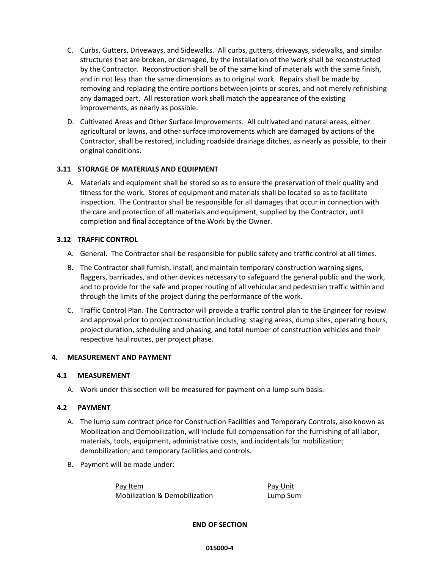- C. Curbs, Gutters, Driveways, and Sidewalks. All curbs, gutters, driveways, sidewalks, and similar structures that are broken, or damaged, by the installation of the work shall be reconstructed by the Contractor. Reconstruction shall be of the same kind of materials with the same finish, and in not less than the same dimensions as to original work. Repairs shall be made by removing and replacing the entire portions between joints or scores, and not merely refinishing any damaged part. All restoration work shall match the appearance of the existing improvements, as nearly as possible.
- D. Cultivated Areas and Other Surface Improvements. All cultivated and natural areas, either agricultural or lawns, and other surface improvements which are damaged by actions of the Contractor, shall be restored, including roadside drainage ditches, as nearly as possible, to their original conditions.

#### **3.11 STORAGE OF MATERIALS AND EQUIPMENT**

A. Materials and equipment shall be stored so as to ensure the preservation of their quality and fitness for the work. Stores of equipment and materials shall be located so as to facilitate inspection. The Contractor shall be responsible for all damages that occur in connection with the care and protection of all materials and equipment, supplied by the Contractor, until completion and final acceptance of the Work by the Owner.

#### **3.12 TRAFFIC CONTROL**

- A. General. The Contractor shall be responsible for public safety and traffic control at all times.
- B. The Contractor shall furnish, install, and maintain temporary construction warning signs, flaggers, barricades, and other devices necessary to safeguard the general public and the work, and to provide for the safe and proper routing of all vehicular and pedestrian traffic within and through the limits of the project during the performance of the work.
- C. Traffic Control Plan. The Contractor will provide a traffic control plan to the Engineer for review and approval prior to project construction including: staging areas, dump sites, operating hours, project duration, scheduling and phasing, and total number of construction vehicles and their respective haul routes, per project phase.

#### **4. MEASUREMENT AND PAYMENT**

#### **4.1 MEASUREMENT**

A. Work under this section will be measured for payment on a lump sum basis.

#### **4.2 PAYMENT**

- A. The lump sum contract price for Construction Facilities and Temporary Controls, also known as Mobilization and Demobilization**,** will include full compensation for the furnishing of all labor, materials, tools, equipment, administrative costs, and incidentals for mobilization; demobilization; and temporary facilities and controls.
- B. Payment will be made under:

Pay Item **Pay Item Pay Unit** Mobilization & Demobilization Lump Sum

**END OF SECTION** 

**015000‐4**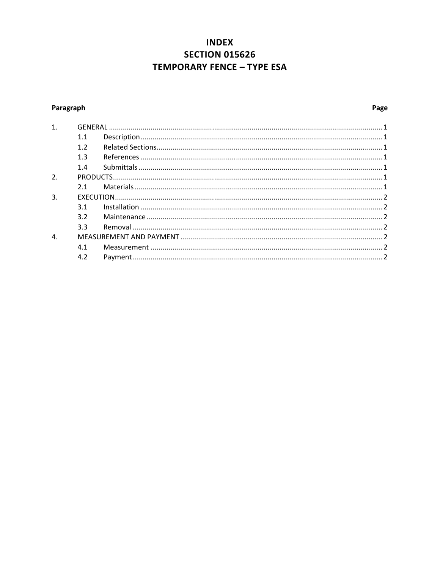### **INDEX SECTION 015626 TEMPORARY FENCE - TYPE ESA**

### Paragraph

### Page

| $\mathbf{1}$ |  |  |
|--------------|--|--|
| 1.1          |  |  |
| 1.2          |  |  |
| 1.3          |  |  |
| 1.4          |  |  |
|              |  |  |
| 2.1          |  |  |
|              |  |  |
| 3.1          |  |  |
| 3.2          |  |  |
| 3.3          |  |  |
|              |  |  |
| 4.1          |  |  |
| 4.2          |  |  |
|              |  |  |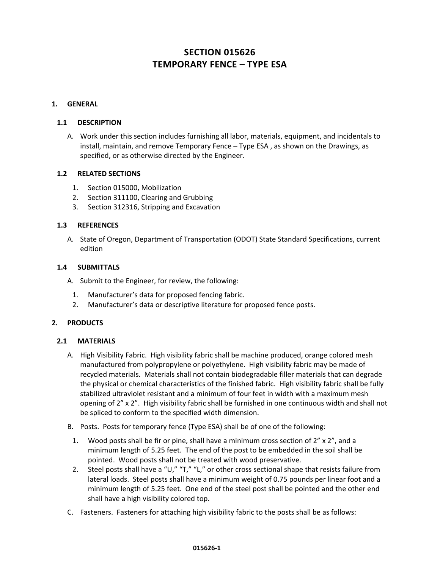### **SECTION 015626 TEMPORARY FENCE – TYPE ESA**

#### **1. GENERAL**

#### **1.1 DESCRIPTION**

A. Work under this section includes furnishing all labor, materials, equipment, and incidentals to install, maintain, and remove Temporary Fence – Type ESA , as shown on the Drawings, as specified, or as otherwise directed by the Engineer.

#### **1.2 RELATED SECTIONS**

- 1. Section 015000, Mobilization
- 2. Section 311100, Clearing and Grubbing
- 3. Section 312316, Stripping and Excavation

#### **1.3 REFERENCES**

A. State of Oregon, Department of Transportation (ODOT) State Standard Specifications, current edition

#### **1.4 SUBMITTALS**

- A. Submit to the Engineer, for review, the following:
	- 1. Manufacturer's data for proposed fencing fabric.
	- 2. Manufacturer's data or descriptive literature for proposed fence posts.

#### **2. PRODUCTS**

#### **2.1 MATERIALS**

- A. High Visibility Fabric. High visibility fabric shall be machine produced, orange colored mesh manufactured from polypropylene or polyethylene. High visibility fabric may be made of recycled materials. Materials shall not contain biodegradable filler materials that can degrade the physical or chemical characteristics of the finished fabric. High visibility fabric shall be fully stabilized ultraviolet resistant and a minimum of four feet in width with a maximum mesh opening of 2" x 2". High visibility fabric shall be furnished in one continuous width and shall not be spliced to conform to the specified width dimension.
- B. Posts. Posts for temporary fence (Type ESA) shall be of one of the following:
	- 1. Wood posts shall be fir or pine, shall have a minimum cross section of  $2'' \times 2''$ , and a minimum length of 5.25 feet. The end of the post to be embedded in the soil shall be pointed. Wood posts shall not be treated with wood preservative.
	- 2. Steel posts shall have a "U," "T," "L," or other cross sectional shape that resists failure from lateral loads. Steel posts shall have a minimum weight of 0.75 pounds per linear foot and a minimum length of 5.25 feet. One end of the steel post shall be pointed and the other end shall have a high visibility colored top.
- C. Fasteners. Fasteners for attaching high visibility fabric to the posts shall be as follows: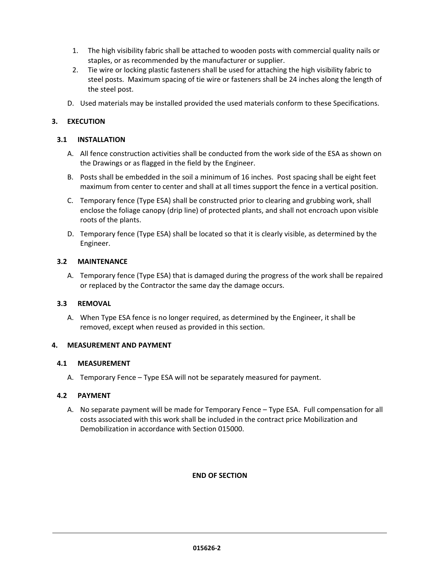- 1. The high visibility fabric shall be attached to wooden posts with commercial quality nails or staples, or as recommended by the manufacturer or supplier.
- 2. Tie wire or locking plastic fasteners shall be used for attaching the high visibility fabric to steel posts. Maximum spacing of tie wire or fasteners shall be 24 inches along the length of the steel post.
- D. Used materials may be installed provided the used materials conform to these Specifications.

#### **3. EXECUTION**

#### **3.1 INSTALLATION**

- A. All fence construction activities shall be conducted from the work side of the ESA as shown on the Drawings or as flagged in the field by the Engineer.
- B. Posts shall be embedded in the soil a minimum of 16 inches. Post spacing shall be eight feet maximum from center to center and shall at all times support the fence in a vertical position.
- C. Temporary fence (Type ESA) shall be constructed prior to clearing and grubbing work, shall enclose the foliage canopy (drip line) of protected plants, and shall not encroach upon visible roots of the plants.
- D. Temporary fence (Type ESA) shall be located so that it is clearly visible, as determined by the Engineer.

#### **3.2 MAINTENANCE**

A. Temporary fence (Type ESA) that is damaged during the progress of the work shall be repaired or replaced by the Contractor the same day the damage occurs.

#### **3.3 REMOVAL**

A. When Type ESA fence is no longer required, as determined by the Engineer, it shall be removed, except when reused as provided in this section.

#### **4. MEASUREMENT AND PAYMENT**

#### **4.1 MEASUREMENT**

A. Temporary Fence – Type ESA will not be separately measured for payment.

#### **4.2 PAYMENT**

A. No separate payment will be made for Temporary Fence – Type ESA. Full compensation for all costs associated with this work shall be included in the contract price Mobilization and Demobilization in accordance with Section 015000.

#### **END OF SECTION**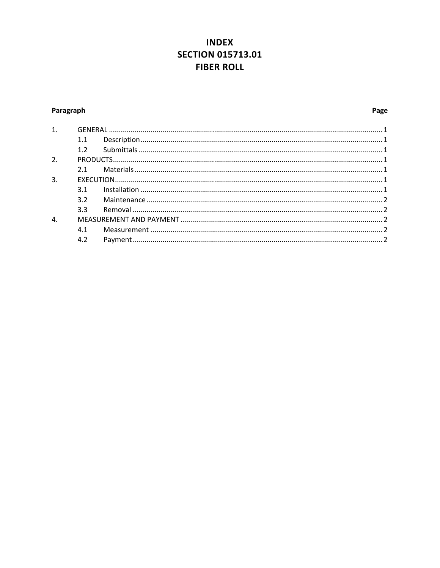### **INDEX SECTION 015713.01 FIBER ROLL**

#### Paragraph

#### Page

| 1.               |     |  |
|------------------|-----|--|
|                  | 1.1 |  |
|                  |     |  |
| $\overline{2}$ . |     |  |
|                  | 2.1 |  |
| 3.               |     |  |
|                  | 3.1 |  |
|                  | 3.2 |  |
|                  | 3.3 |  |
| 4.               |     |  |
|                  | 4.1 |  |
|                  | 4.2 |  |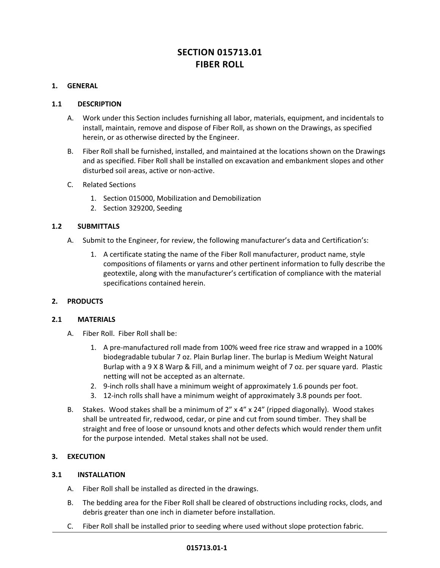### **SECTION 015713.01 FIBER ROLL**

#### **1. GENERAL**

#### **1.1 DESCRIPTION**

- A. Work under this Section includes furnishing all labor, materials, equipment, and incidentals to install, maintain, remove and dispose of Fiber Roll, as shown on the Drawings, as specified herein, or as otherwise directed by the Engineer.
- B. Fiber Roll shall be furnished, installed, and maintained at the locations shown on the Drawings and as specified. Fiber Roll shall be installed on excavation and embankment slopes and other disturbed soil areas, active or non‐active.
- C. Related Sections
	- 1. Section 015000, Mobilization and Demobilization
	- 2. Section 329200, Seeding

#### **1.2 SUBMITTALS**

- A. Submit to the Engineer, for review, the following manufacturer's data and Certification's:
	- 1. A certificate stating the name of the Fiber Roll manufacturer, product name, style compositions of filaments or yarns and other pertinent information to fully describe the geotextile, along with the manufacturer's certification of compliance with the material specifications contained herein.

#### **2. PRODUCTS**

#### **2.1 MATERIALS**

- A. Fiber Roll. Fiber Roll shall be:
	- 1. A pre-manufactured roll made from 100% weed free rice straw and wrapped in a 100% biodegradable tubular 7 oz. Plain Burlap liner. The burlap is Medium Weight Natural Burlap with a 9 X 8 Warp & Fill, and a minimum weight of 7 oz. per square yard. Plastic netting will not be accepted as an alternate.
	- 2. 9‐inch rolls shall have a minimum weight of approximately 1.6 pounds per foot.
	- 3. 12-inch rolls shall have a minimum weight of approximately 3.8 pounds per foot.
- B. Stakes. Wood stakes shall be a minimum of  $2'' \times 4'' \times 24''$  (ripped diagonally). Wood stakes shall be untreated fir, redwood, cedar, or pine and cut from sound timber. They shall be straight and free of loose or unsound knots and other defects which would render them unfit for the purpose intended. Metal stakes shall not be used.

#### **3. EXECUTION**

#### **3.1 INSTALLATION**

- A. Fiber Roll shall be installed as directed in the drawings.
- B. The bedding area for the Fiber Roll shall be cleared of obstructions including rocks, clods, and debris greater than one inch in diameter before installation.
- C. Fiber Roll shall be installed prior to seeding where used without slope protection fabric.

#### **015713.01-1**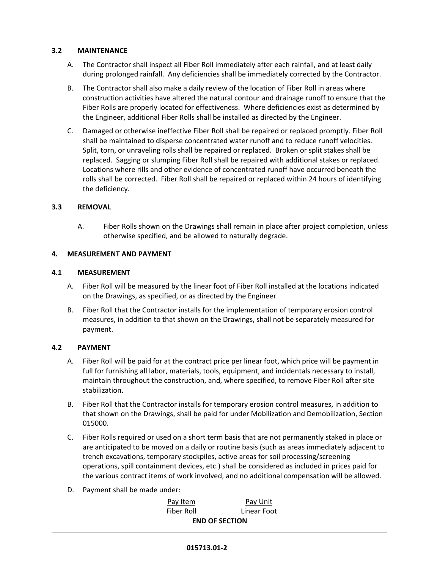#### **3.2 MAINTENANCE**

- A. The Contractor shall inspect all Fiber Roll immediately after each rainfall, and at least daily during prolonged rainfall. Any deficiencies shall be immediately corrected by the Contractor.
- B. The Contractor shall also make a daily review of the location of Fiber Roll in areas where construction activities have altered the natural contour and drainage runoff to ensure that the Fiber Rolls are properly located for effectiveness. Where deficiencies exist as determined by the Engineer, additional Fiber Rolls shall be installed as directed by the Engineer.
- C. Damaged or otherwise ineffective Fiber Roll shall be repaired or replaced promptly. Fiber Roll shall be maintained to disperse concentrated water runoff and to reduce runoff velocities. Split, torn, or unraveling rolls shall be repaired or replaced. Broken or split stakes shall be replaced. Sagging or slumping Fiber Roll shall be repaired with additional stakes or replaced. Locations where rills and other evidence of concentrated runoff have occurred beneath the rolls shall be corrected. Fiber Roll shall be repaired or replaced within 24 hours of identifying the deficiency.

#### **3.3 REMOVAL**

A. Fiber Rolls shown on the Drawings shall remain in place after project completion, unless otherwise specified, and be allowed to naturally degrade.

#### **4. MEASUREMENT AND PAYMENT**

#### **4.1 MEASUREMENT**

- A. Fiber Roll will be measured by the linear foot of Fiber Roll installed at the locations indicated on the Drawings, as specified, or as directed by the Engineer
- B. Fiber Roll that the Contractor installs for the implementation of temporary erosion control measures, in addition to that shown on the Drawings, shall not be separately measured for payment.

#### **4.2 PAYMENT**

- A. Fiber Roll will be paid for at the contract price per linear foot, which price will be payment in full for furnishing all labor, materials, tools, equipment, and incidentals necessary to install, maintain throughout the construction, and, where specified, to remove Fiber Roll after site stabilization.
- B. Fiber Roll that the Contractor installs for temporary erosion control measures, in addition to that shown on the Drawings, shall be paid for under Mobilization and Demobilization, Section 015000.
- C. Fiber Rolls required or used on a short term basis that are not permanently staked in place or are anticipated to be moved on a daily or routine basis (such as areas immediately adjacent to trench excavations, temporary stockpiles, active areas for soil processing/screening operations, spill containment devices, etc.) shall be considered as included in prices paid for the various contract items of work involved, and no additional compensation will be allowed.
- D. Payment shall be made under:

| Pay Item              | Pay Unit    |  |  |
|-----------------------|-------------|--|--|
| Fiber Roll            | Linear Foot |  |  |
| <b>END OF SECTION</b> |             |  |  |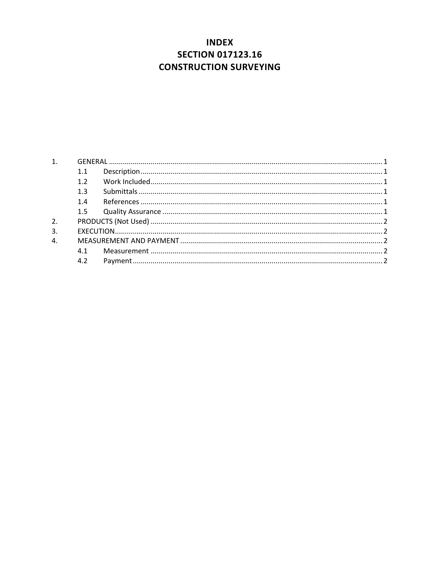### **INDEX SECTION 017123.16 CONSTRUCTION SURVEYING**

|    | 1.1 |  |
|----|-----|--|
|    | 1.2 |  |
|    | 1.3 |  |
|    | 1.4 |  |
|    |     |  |
| 2. |     |  |
| 3. |     |  |
| 4. |     |  |
|    |     |  |
|    | 4.2 |  |
|    |     |  |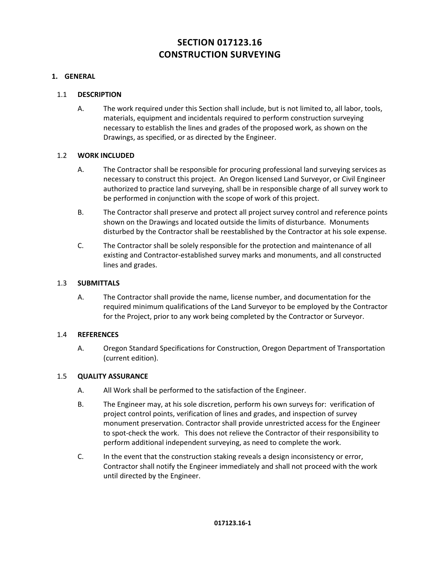### **SECTION 017123.16 CONSTRUCTION SURVEYING**

#### **1. GENERAL**

#### 1.1 **DESCRIPTION**

A. The work required under this Section shall include, but is not limited to, all labor, tools, materials, equipment and incidentals required to perform construction surveying necessary to establish the lines and grades of the proposed work, as shown on the Drawings, as specified, or as directed by the Engineer.

#### 1.2 **WORK INCLUDED**

- A. The Contractor shall be responsible for procuring professional land surveying services as necessary to construct this project. An Oregon licensed Land Surveyor, or Civil Engineer authorized to practice land surveying, shall be in responsible charge of all survey work to be performed in conjunction with the scope of work of this project.
- B. The Contractor shall preserve and protect all project survey control and reference points shown on the Drawings and located outside the limits of disturbance. Monuments disturbed by the Contractor shall be reestablished by the Contractor at his sole expense.
- C. The Contractor shall be solely responsible for the protection and maintenance of all existing and Contractor‐established survey marks and monuments, and all constructed lines and grades.

#### 1.3 **SUBMITTALS**

A. The Contractor shall provide the name, license number, and documentation for the required minimum qualifications of the Land Surveyor to be employed by the Contractor for the Project, prior to any work being completed by the Contractor or Surveyor.

#### 1.4 **REFERENCES**

A. Oregon Standard Specifications for Construction, Oregon Department of Transportation (current edition).

#### 1.5 **QUALITY ASSURANCE**

- A. All Work shall be performed to the satisfaction of the Engineer.
- B. The Engineer may, at his sole discretion, perform his own surveys for: verification of project control points, verification of lines and grades, and inspection of survey monument preservation. Contractor shall provide unrestricted access for the Engineer to spot-check the work. This does not relieve the Contractor of their responsibility to perform additional independent surveying, as need to complete the work.
- C. In the event that the construction staking reveals a design inconsistency or error, Contractor shall notify the Engineer immediately and shall not proceed with the work until directed by the Engineer.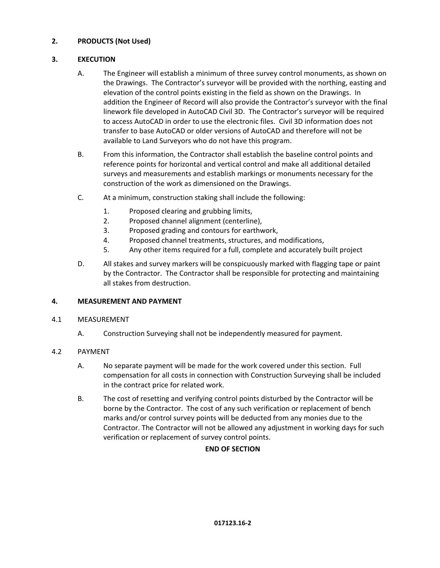#### **2. PRODUCTS (Not Used)**

#### **3. EXECUTION**

- A. The Engineer will establish a minimum of three survey control monuments, as shown on the Drawings. The Contractor's surveyor will be provided with the northing, easting and elevation of the control points existing in the field as shown on the Drawings. In addition the Engineer of Record will also provide the Contractor's surveyor with the final linework file developed in AutoCAD Civil 3D. The Contractor's surveyor will be required to access AutoCAD in order to use the electronic files. Civil 3D information does not transfer to base AutoCAD or older versions of AutoCAD and therefore will not be available to Land Surveyors who do not have this program.
- B. From this information, the Contractor shall establish the baseline control points and reference points for horizontal and vertical control and make all additional detailed surveys and measurements and establish markings or monuments necessary for the construction of the work as dimensioned on the Drawings.
- C. At a minimum, construction staking shall include the following:
	- 1. Proposed clearing and grubbing limits,
	- 2. Proposed channel alignment (centerline),
	- 3. Proposed grading and contours for earthwork,
	- 4. Proposed channel treatments, structures, and modifications,
	- 5. Any other items required for a full, complete and accurately built project
- D. All stakes and survey markers will be conspicuously marked with flagging tape or paint by the Contractor. The Contractor shall be responsible for protecting and maintaining all stakes from destruction.

#### **4. MEASUREMENT AND PAYMENT**

#### 4.1 MEASUREMENT

A. Construction Surveying shall not be independently measured for payment.

#### 4.2 PAYMENT

- A. No separate payment will be made for the work covered under this section. Full compensation for all costs in connection with Construction Surveying shall be included in the contract price for related work.
- B. The cost of resetting and verifying control points disturbed by the Contractor will be borne by the Contractor. The cost of any such verification or replacement of bench marks and/or control survey points will be deducted from any monies due to the Contractor. The Contractor will not be allowed any adjustment in working days for such verification or replacement of survey control points.

#### **END OF SECTION**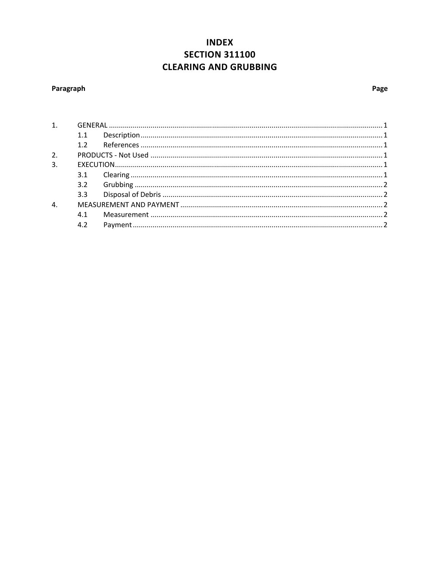### **INDEX SECTION 311100 CLEARING AND GRUBBING**

### Paragraph

|                  | 1.1 |  |
|------------------|-----|--|
|                  |     |  |
| 2.               |     |  |
| 3.               |     |  |
|                  | 3.1 |  |
|                  |     |  |
|                  | 3.3 |  |
| $\overline{4}$ . |     |  |
|                  | 4.1 |  |
|                  | 4.2 |  |
|                  |     |  |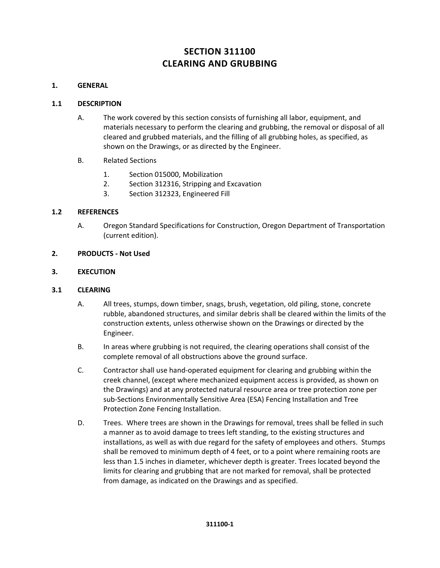### **SECTION 311100 CLEARING AND GRUBBING**

#### **1. GENERAL**

#### **1.1 DESCRIPTION**

- A. The work covered by this section consists of furnishing all labor, equipment, and materials necessary to perform the clearing and grubbing, the removal or disposal of all cleared and grubbed materials, and the filling of all grubbing holes, as specified, as shown on the Drawings, or as directed by the Engineer.
- B. Related Sections
	- 1. Section 015000, Mobilization
	- 2. Section 312316, Stripping and Excavation
	- 3. Section 312323, Engineered Fill

#### **1.2 REFERENCES**

A. Oregon Standard Specifications for Construction, Oregon Department of Transportation (current edition).

#### **2. PRODUCTS ‐ Not Used**

#### **3. EXECUTION**

#### **3.1 CLEARING**

- A. All trees, stumps, down timber, snags, brush, vegetation, old piling, stone, concrete rubble, abandoned structures, and similar debris shall be cleared within the limits of the construction extents, unless otherwise shown on the Drawings or directed by the Engineer.
- B. In areas where grubbing is not required, the clearing operations shall consist of the complete removal of all obstructions above the ground surface.
- C. Contractor shall use hand‐operated equipment for clearing and grubbing within the creek channel, (except where mechanized equipment access is provided, as shown on the Drawings) and at any protected natural resource area or tree protection zone per sub‐Sections Environmentally Sensitive Area (ESA) Fencing Installation and Tree Protection Zone Fencing Installation.
- D. Trees. Where trees are shown in the Drawings for removal, trees shall be felled in such a manner as to avoid damage to trees left standing, to the existing structures and installations, as well as with due regard for the safety of employees and others. Stumps shall be removed to minimum depth of 4 feet, or to a point where remaining roots are less than 1.5 inches in diameter, whichever depth is greater. Trees located beyond the limits for clearing and grubbing that are not marked for removal, shall be protected from damage, as indicated on the Drawings and as specified.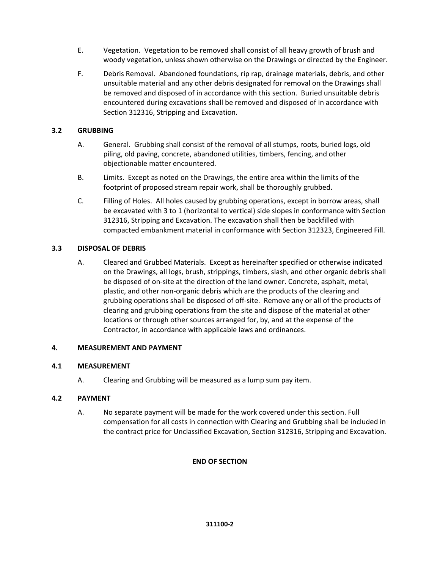- E. Vegetation. Vegetation to be removed shall consist of all heavy growth of brush and woody vegetation, unless shown otherwise on the Drawings or directed by the Engineer.
- F. Debris Removal. Abandoned foundations, rip rap, drainage materials, debris, and other unsuitable material and any other debris designated for removal on the Drawings shall be removed and disposed of in accordance with this section. Buried unsuitable debris encountered during excavations shall be removed and disposed of in accordance with Section 312316, Stripping and Excavation.

#### **3.2 GRUBBING**

- A. General. Grubbing shall consist of the removal of all stumps, roots, buried logs, old piling, old paving, concrete, abandoned utilities, timbers, fencing, and other objectionable matter encountered.
- B. Limits. Except as noted on the Drawings, the entire area within the limits of the footprint of proposed stream repair work, shall be thoroughly grubbed.
- C. Filling of Holes. All holes caused by grubbing operations, except in borrow areas, shall be excavated with 3 to 1 (horizontal to vertical) side slopes in conformance with Section 312316, Stripping and Excavation. The excavation shall then be backfilled with compacted embankment material in conformance with Section 312323, Engineered Fill.

#### **3.3 DISPOSAL OF DEBRIS**

A. Cleared and Grubbed Materials. Except as hereinafter specified or otherwise indicated on the Drawings, all logs, brush, strippings, timbers, slash, and other organic debris shall be disposed of on‐site at the direction of the land owner. Concrete, asphalt, metal, plastic, and other non‐organic debris which are the products of the clearing and grubbing operations shall be disposed of off‐site. Remove any or all of the products of clearing and grubbing operations from the site and dispose of the material at other locations or through other sources arranged for, by, and at the expense of the Contractor, in accordance with applicable laws and ordinances.

#### **4. MEASUREMENT AND PAYMENT**

#### **4.1 MEASUREMENT**

A. Clearing and Grubbing will be measured as a lump sum pay item.

#### **4.2 PAYMENT**

A. No separate payment will be made for the work covered under this section. Full compensation for all costs in connection with Clearing and Grubbing shall be included in the contract price for Unclassified Excavation, Section 312316, Stripping and Excavation.

#### **END OF SECTION**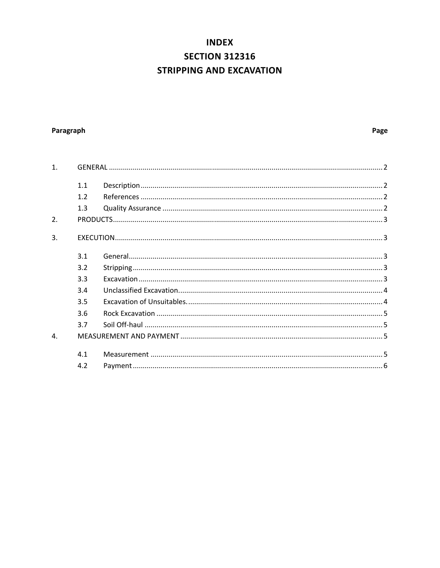### **INDEX SECTION 312316 STRIPPING AND EXCAVATION**

### Paragraph

### Page

| $\mathbf{1}$ |     |  |  |
|--------------|-----|--|--|
|              | 1.1 |  |  |
|              | 1.2 |  |  |
|              | 1.3 |  |  |
| 2.           |     |  |  |
| 3.           |     |  |  |
|              | 3.1 |  |  |
|              | 3.2 |  |  |
|              | 3.3 |  |  |
|              | 3.4 |  |  |
|              | 3.5 |  |  |
|              | 3.6 |  |  |
|              | 3.7 |  |  |
| 4.           |     |  |  |
|              | 4.1 |  |  |
|              | 4.2 |  |  |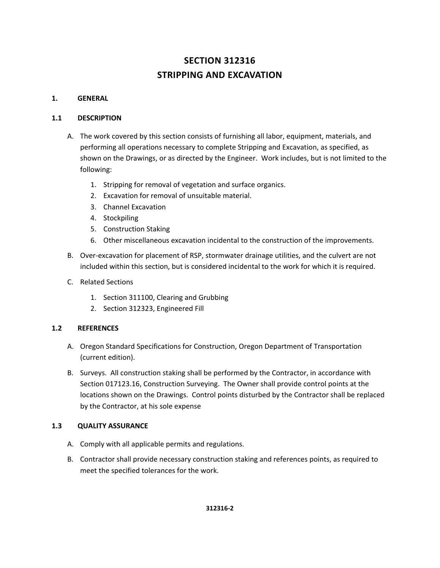### **SECTION 312316 STRIPPING AND EXCAVATION**

#### **1. GENERAL**

#### **1.1 DESCRIPTION**

- A. The work covered by this section consists of furnishing all labor, equipment, materials, and performing all operations necessary to complete Stripping and Excavation, as specified, as shown on the Drawings, or as directed by the Engineer. Work includes, but is not limited to the following:
	- 1. Stripping for removal of vegetation and surface organics.
	- 2. Excavation for removal of unsuitable material.
	- 3. Channel Excavation
	- 4. Stockpiling
	- 5. Construction Staking
	- 6. Other miscellaneous excavation incidental to the construction of the improvements.
- B. Over‐excavation for placement of RSP, stormwater drainage utilities, and the culvert are not included within this section, but is considered incidental to the work for which it is required.
- C. Related Sections
	- 1. Section 311100, Clearing and Grubbing
	- 2. Section 312323, Engineered Fill

#### **1.2 REFERENCES**

- A. Oregon Standard Specifications for Construction, Oregon Department of Transportation (current edition).
- B. Surveys. All construction staking shall be performed by the Contractor, in accordance with Section 017123.16, Construction Surveying. The Owner shall provide control points at the locations shown on the Drawings. Control points disturbed by the Contractor shall be replaced by the Contractor, at his sole expense

#### **1.3 QUALITY ASSURANCE**

- A. Comply with all applicable permits and regulations.
- B. Contractor shall provide necessary construction staking and references points, as required to meet the specified tolerances for the work.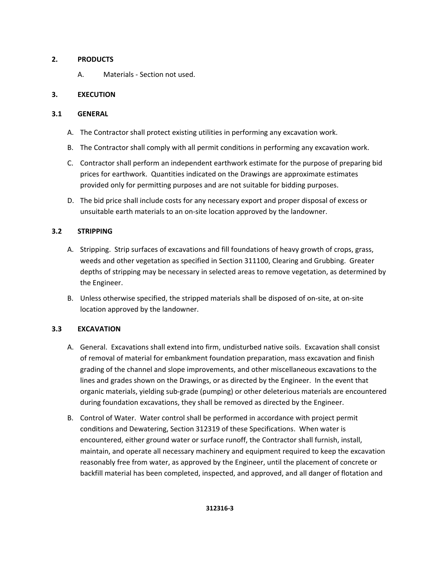#### **2. PRODUCTS**

A. Materials ‐ Section not used.

#### **3. EXECUTION**

#### **3.1 GENERAL**

- A. The Contractor shall protect existing utilities in performing any excavation work.
- B. The Contractor shall comply with all permit conditions in performing any excavation work.
- C. Contractor shall perform an independent earthwork estimate for the purpose of preparing bid prices for earthwork. Quantities indicated on the Drawings are approximate estimates provided only for permitting purposes and are not suitable for bidding purposes.
- D. The bid price shall include costs for any necessary export and proper disposal of excess or unsuitable earth materials to an on‐site location approved by the landowner.

#### **3.2 STRIPPING**

- A. Stripping. Strip surfaces of excavations and fill foundations of heavy growth of crops, grass, weeds and other vegetation as specified in Section 311100, Clearing and Grubbing. Greater depths of stripping may be necessary in selected areas to remove vegetation, as determined by the Engineer.
- B. Unless otherwise specified, the stripped materials shall be disposed of on‐site, at on‐site location approved by the landowner.

#### **3.3 EXCAVATION**

- A. General. Excavations shall extend into firm, undisturbed native soils. Excavation shall consist of removal of material for embankment foundation preparation, mass excavation and finish grading of the channel and slope improvements, and other miscellaneous excavations to the lines and grades shown on the Drawings, or as directed by the Engineer. In the event that organic materials, yielding sub‐grade (pumping) or other deleterious materials are encountered during foundation excavations, they shall be removed as directed by the Engineer.
- B. Control of Water. Water control shall be performed in accordance with project permit conditions and Dewatering, Section 312319 of these Specifications. When water is encountered, either ground water or surface runoff, the Contractor shall furnish, install, maintain, and operate all necessary machinery and equipment required to keep the excavation reasonably free from water, as approved by the Engineer, until the placement of concrete or backfill material has been completed, inspected, and approved, and all danger of flotation and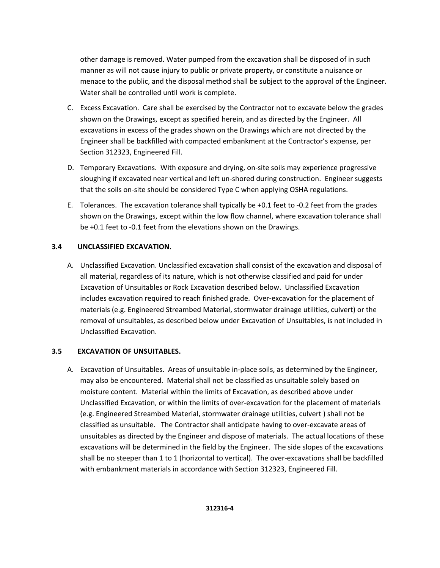other damage is removed. Water pumped from the excavation shall be disposed of in such manner as will not cause injury to public or private property, or constitute a nuisance or menace to the public, and the disposal method shall be subject to the approval of the Engineer. Water shall be controlled until work is complete.

- C. Excess Excavation. Care shall be exercised by the Contractor not to excavate below the grades shown on the Drawings, except as specified herein, and as directed by the Engineer. All excavations in excess of the grades shown on the Drawings which are not directed by the Engineer shall be backfilled with compacted embankment at the Contractor's expense, per Section 312323, Engineered Fill.
- D. Temporary Excavations. With exposure and drying, on-site soils may experience progressive sloughing if excavated near vertical and left un‐shored during construction. Engineer suggests that the soils on‐site should be considered Type C when applying OSHA regulations.
- E. Tolerances. The excavation tolerance shall typically be +0.1 feet to ‐0.2 feet from the grades shown on the Drawings, except within the low flow channel, where excavation tolerance shall be +0.1 feet to -0.1 feet from the elevations shown on the Drawings.

#### **3.4 UNCLASSIFIED EXCAVATION.**

A. Unclassified Excavation. Unclassified excavation shall consist of the excavation and disposal of all material, regardless of its nature, which is not otherwise classified and paid for under Excavation of Unsuitables or Rock Excavation described below. Unclassified Excavation includes excavation required to reach finished grade. Over‐excavation for the placement of materials (e.g. Engineered Streambed Material, stormwater drainage utilities, culvert) or the removal of unsuitables, as described below under Excavation of Unsuitables, is not included in Unclassified Excavation.

#### **3.5 EXCAVATION OF UNSUITABLES.**

A. Excavation of Unsuitables. Areas of unsuitable in-place soils, as determined by the Engineer, may also be encountered. Material shall not be classified as unsuitable solely based on moisture content. Material within the limits of Excavation, as described above under Unclassified Excavation, or within the limits of over‐excavation for the placement of materials (e.g. Engineered Streambed Material, stormwater drainage utilities, culvert ) shall not be classified as unsuitable. The Contractor shall anticipate having to over‐excavate areas of unsuitables as directed by the Engineer and dispose of materials. The actual locations of these excavations will be determined in the field by the Engineer. The side slopes of the excavations shall be no steeper than 1 to 1 (horizontal to vertical). The over‐excavations shall be backfilled with embankment materials in accordance with Section 312323, Engineered Fill.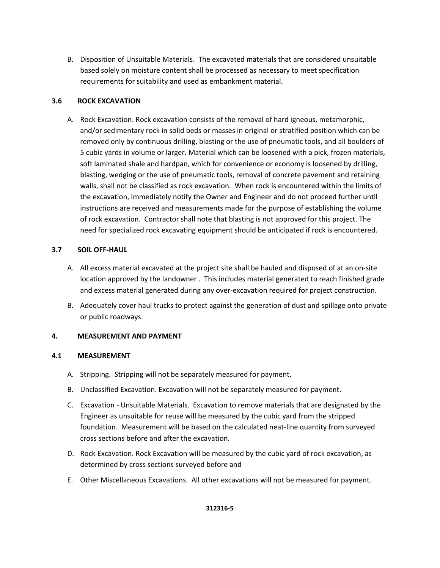B. Disposition of Unsuitable Materials. The excavated materials that are considered unsuitable based solely on moisture content shall be processed as necessary to meet specification requirements for suitability and used as embankment material.

#### **3.6 ROCK EXCAVATION**

A. Rock Excavation. Rock excavation consists of the removal of hard igneous, metamorphic, and/or sedimentary rock in solid beds or masses in original or stratified position which can be removed only by continuous drilling, blasting or the use of pneumatic tools, and all boulders of 5 cubic yards in volume or larger. Material which can be loosened with a pick, frozen materials, soft laminated shale and hardpan, which for convenience or economy is loosened by drilling, blasting, wedging or the use of pneumatic tools, removal of concrete pavement and retaining walls, shall not be classified as rock excavation. When rock is encountered within the limits of the excavation, immediately notify the Owner and Engineer and do not proceed further until instructions are received and measurements made for the purpose of establishing the volume of rock excavation. Contractor shall note that blasting is not approved for this project. The need for specialized rock excavating equipment should be anticipated if rock is encountered.

#### **3.7 SOIL OFF‐HAUL**

- A. All excess material excavated at the project site shall be hauled and disposed of at an on‐site location approved by the landowner . This includes material generated to reach finished grade and excess material generated during any over‐excavation required for project construction.
- B. Adequately cover haul trucks to protect against the generation of dust and spillage onto private or public roadways.

#### **4. MEASUREMENT AND PAYMENT**

#### **4.1 MEASUREMENT**

- A. Stripping. Stripping will not be separately measured for payment.
- B. Unclassified Excavation. Excavation will not be separately measured for payment.
- C. Excavation ‐ Unsuitable Materials. Excavation to remove materials that are designated by the Engineer as unsuitable for reuse will be measured by the cubic yard from the stripped foundation. Measurement will be based on the calculated neat‐line quantity from surveyed cross sections before and after the excavation.
- D. Rock Excavation. Rock Excavation will be measured by the cubic yard of rock excavation, as determined by cross sections surveyed before and
- E. Other Miscellaneous Excavations. All other excavations will not be measured for payment.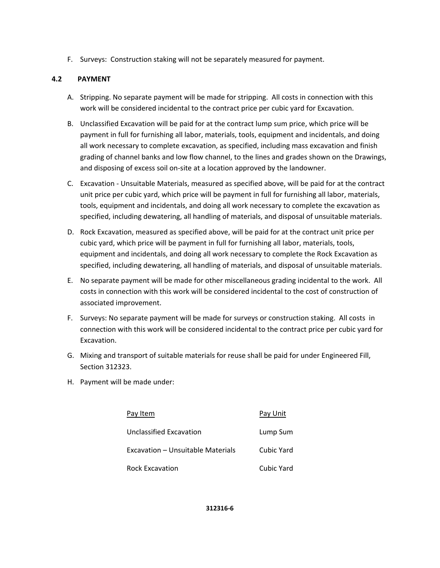F. Surveys: Construction staking will not be separately measured for payment.

#### **4.2 PAYMENT**

- A. Stripping. No separate payment will be made for stripping. All costs in connection with this work will be considered incidental to the contract price per cubic yard for Excavation.
- B. Unclassified Excavation will be paid for at the contract lump sum price, which price will be payment in full for furnishing all labor, materials, tools, equipment and incidentals, and doing all work necessary to complete excavation, as specified, including mass excavation and finish grading of channel banks and low flow channel, to the lines and grades shown on the Drawings, and disposing of excess soil on‐site at a location approved by the landowner.
- C. Excavation ‐ Unsuitable Materials, measured as specified above, will be paid for at the contract unit price per cubic yard, which price will be payment in full for furnishing all labor, materials, tools, equipment and incidentals, and doing all work necessary to complete the excavation as specified, including dewatering, all handling of materials, and disposal of unsuitable materials.
- D. Rock Excavation, measured as specified above, will be paid for at the contract unit price per cubic yard, which price will be payment in full for furnishing all labor, materials, tools, equipment and incidentals, and doing all work necessary to complete the Rock Excavation as specified, including dewatering, all handling of materials, and disposal of unsuitable materials.
- E. No separate payment will be made for other miscellaneous grading incidental to the work. All costs in connection with this work will be considered incidental to the cost of construction of associated improvement.
- F. Surveys: No separate payment will be made for surveys or construction staking. All costs in connection with this work will be considered incidental to the contract price per cubic yard for Excavation.
- G. Mixing and transport of suitable materials for reuse shall be paid for under Engineered Fill, Section 312323.
- H. Payment will be made under:

| Pay Item                          | Pay Unit   |
|-----------------------------------|------------|
| Unclassified Excavation           | Lump Sum   |
| Excavation – Unsuitable Materials | Cubic Yard |
| <b>Rock Excavation</b>            | Cubic Yard |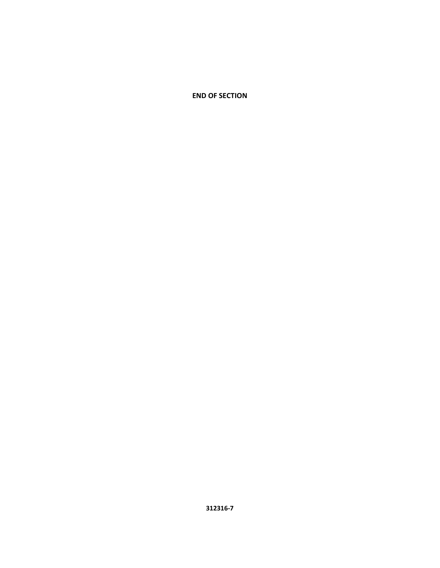**END OF SECTION**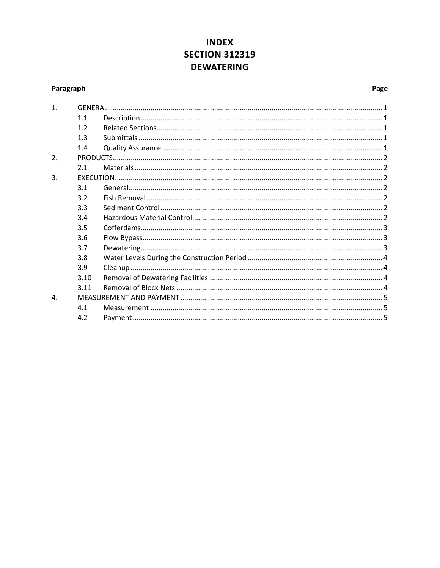### **INDEX SECTION 312319 DEWATERING**

#### Paragraph

### Page

| $\mathbf{1}$ .   | GENERAL. |  |
|------------------|----------|--|
|                  | 1.1      |  |
|                  | 1.2      |  |
|                  | 1.3      |  |
|                  | 1.4      |  |
| $\overline{2}$ . |          |  |
|                  | 2.1      |  |
| 3.               |          |  |
|                  | 3.1      |  |
|                  | 3.2      |  |
|                  | 3.3      |  |
|                  | 3.4      |  |
|                  | 3.5      |  |
|                  | 3.6      |  |
|                  | 3.7      |  |
|                  | 3.8      |  |
|                  | 3.9      |  |
|                  | 3.10     |  |
|                  | 3.11     |  |
| $\mathbf{4}$     |          |  |
|                  | 4.1      |  |
|                  | 4.2      |  |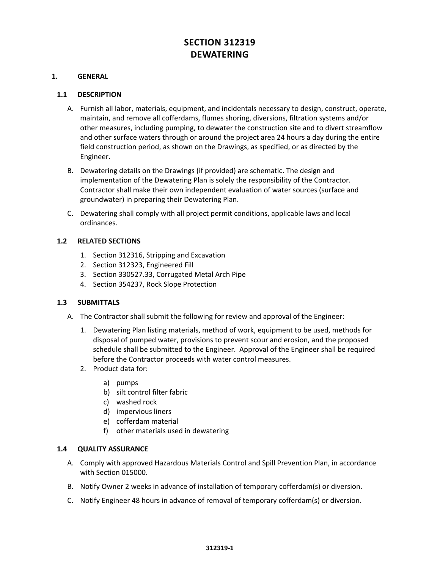### **SECTION 312319 DEWATERING**

#### **1. GENERAL**

#### **1.1 DESCRIPTION**

- A. Furnish all labor, materials, equipment, and incidentals necessary to design, construct, operate, maintain, and remove all cofferdams, flumes shoring, diversions, filtration systems and/or other measures, including pumping, to dewater the construction site and to divert streamflow and other surface waters through or around the project area 24 hours a day during the entire field construction period, as shown on the Drawings, as specified, or as directed by the Engineer.
- B. Dewatering details on the Drawings (if provided) are schematic. The design and implementation of the Dewatering Plan is solely the responsibility of the Contractor. Contractor shall make their own independent evaluation of water sources (surface and groundwater) in preparing their Dewatering Plan.
- C. Dewatering shall comply with all project permit conditions, applicable laws and local ordinances.

#### **1.2 RELATED SECTIONS**

- 1. Section 312316, Stripping and Excavation
- 2. Section 312323, Engineered Fill
- 3. Section 330527.33, Corrugated Metal Arch Pipe
- 4. Section 354237, Rock Slope Protection

#### **1.3 SUBMITTALS**

- A. The Contractor shall submit the following for review and approval of the Engineer:
	- 1. Dewatering Plan listing materials, method of work, equipment to be used, methods for disposal of pumped water, provisions to prevent scour and erosion, and the proposed schedule shall be submitted to the Engineer. Approval of the Engineer shall be required before the Contractor proceeds with water control measures.
	- 2. Product data for:
		- a) pumps
		- b) silt control filter fabric
		- c) washed rock
		- d) impervious liners
		- e) cofferdam material
		- f) other materials used in dewatering

#### **1.4 QUALITY ASSURANCE**

- A. Comply with approved Hazardous Materials Control and Spill Prevention Plan, in accordance with Section 015000.
- B. Notify Owner 2 weeks in advance of installation of temporary cofferdam(s) or diversion.
- C. Notify Engineer 48 hours in advance of removal of temporary cofferdam(s) or diversion.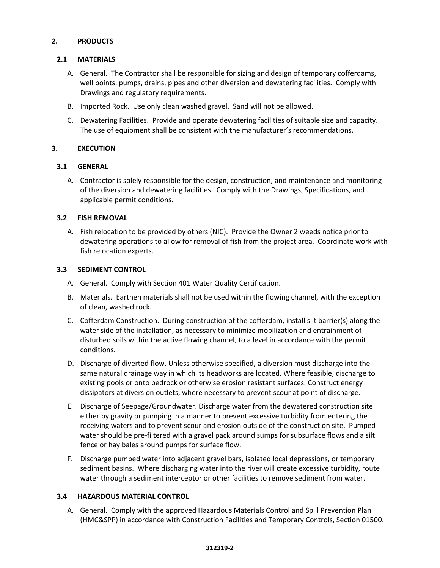#### **2. PRODUCTS**

#### **2.1 MATERIALS**

- A. General. The Contractor shall be responsible for sizing and design of temporary cofferdams, well points, pumps, drains, pipes and other diversion and dewatering facilities. Comply with Drawings and regulatory requirements.
- B. Imported Rock. Use only clean washed gravel. Sand will not be allowed.
- C. Dewatering Facilities. Provide and operate dewatering facilities of suitable size and capacity. The use of equipment shall be consistent with the manufacturer's recommendations.

#### **3. EXECUTION**

#### **3.1 GENERAL**

A. Contractor is solely responsible for the design, construction, and maintenance and monitoring of the diversion and dewatering facilities. Comply with the Drawings, Specifications, and applicable permit conditions.

#### **3.2 FISH REMOVAL**

A. Fish relocation to be provided by others (NIC). Provide the Owner 2 weeds notice prior to dewatering operations to allow for removal of fish from the project area. Coordinate work with fish relocation experts.

#### **3.3 SEDIMENT CONTROL**

- A. General. Comply with Section 401 Water Quality Certification.
- B. Materials. Earthen materials shall not be used within the flowing channel, with the exception of clean, washed rock.
- C. Cofferdam Construction. During construction of the cofferdam, install silt barrier(s) along the water side of the installation, as necessary to minimize mobilization and entrainment of disturbed soils within the active flowing channel, to a level in accordance with the permit conditions.
- D. Discharge of diverted flow. Unless otherwise specified, a diversion must discharge into the same natural drainage way in which its headworks are located. Where feasible, discharge to existing pools or onto bedrock or otherwise erosion resistant surfaces. Construct energy dissipators at diversion outlets, where necessary to prevent scour at point of discharge.
- E. Discharge of Seepage/Groundwater. Discharge water from the dewatered construction site either by gravity or pumping in a manner to prevent excessive turbidity from entering the receiving waters and to prevent scour and erosion outside of the construction site. Pumped water should be pre-filtered with a gravel pack around sumps for subsurface flows and a silt fence or hay bales around pumps for surface flow.
- F. Discharge pumped water into adjacent gravel bars, isolated local depressions, or temporary sediment basins. Where discharging water into the river will create excessive turbidity, route water through a sediment interceptor or other facilities to remove sediment from water.

#### **3.4 HAZARDOUS MATERIAL CONTROL**

A. General. Comply with the approved Hazardous Materials Control and Spill Prevention Plan (HMC&SPP) in accordance with Construction Facilities and Temporary Controls, Section 01500.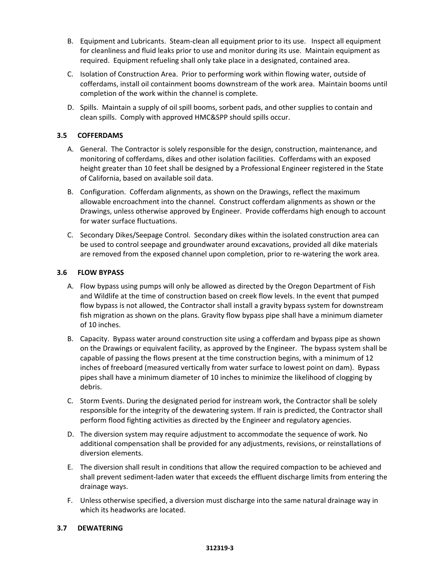- B. Equipment and Lubricants. Steam‐clean all equipment prior to its use. Inspect all equipment for cleanliness and fluid leaks prior to use and monitor during its use. Maintain equipment as required. Equipment refueling shall only take place in a designated, contained area.
- C. Isolation of Construction Area. Prior to performing work within flowing water, outside of cofferdams, install oil containment booms downstream of the work area. Maintain booms until completion of the work within the channel is complete.
- D. Spills. Maintain a supply of oil spill booms, sorbent pads, and other supplies to contain and clean spills. Comply with approved HMC&SPP should spills occur.

#### **3.5 COFFERDAMS**

- A. General. The Contractor is solely responsible for the design, construction, maintenance, and monitoring of cofferdams, dikes and other isolation facilities. Cofferdams with an exposed height greater than 10 feet shall be designed by a Professional Engineer registered in the State of California, based on available soil data.
- B. Configuration. Cofferdam alignments, as shown on the Drawings, reflect the maximum allowable encroachment into the channel. Construct cofferdam alignments as shown or the Drawings, unless otherwise approved by Engineer. Provide cofferdams high enough to account for water surface fluctuations.
- C. Secondary Dikes/Seepage Control. Secondary dikes within the isolated construction area can be used to control seepage and groundwater around excavations, provided all dike materials are removed from the exposed channel upon completion, prior to re-watering the work area.

#### **3.6 FLOW BYPASS**

- A. Flow bypass using pumps will only be allowed as directed by the Oregon Department of Fish and Wildlife at the time of construction based on creek flow levels. In the event that pumped flow bypass is not allowed, the Contractor shall install a gravity bypass system for downstream fish migration as shown on the plans. Gravity flow bypass pipe shall have a minimum diameter of 10 inches.
- B. Capacity. Bypass water around construction site using a cofferdam and bypass pipe as shown on the Drawings or equivalent facility, as approved by the Engineer. The bypass system shall be capable of passing the flows present at the time construction begins, with a minimum of 12 inches of freeboard (measured vertically from water surface to lowest point on dam). Bypass pipes shall have a minimum diameter of 10 inches to minimize the likelihood of clogging by debris.
- C. Storm Events. During the designated period for instream work, the Contractor shall be solely responsible for the integrity of the dewatering system. If rain is predicted, the Contractor shall perform flood fighting activities as directed by the Engineer and regulatory agencies.
- D. The diversion system may require adjustment to accommodate the sequence of work. No additional compensation shall be provided for any adjustments, revisions, or reinstallations of diversion elements.
- E. The diversion shall result in conditions that allow the required compaction to be achieved and shall prevent sediment-laden water that exceeds the effluent discharge limits from entering the drainage ways.
- F. Unless otherwise specified, a diversion must discharge into the same natural drainage way in which its headworks are located.

#### **3.7 DEWATERING**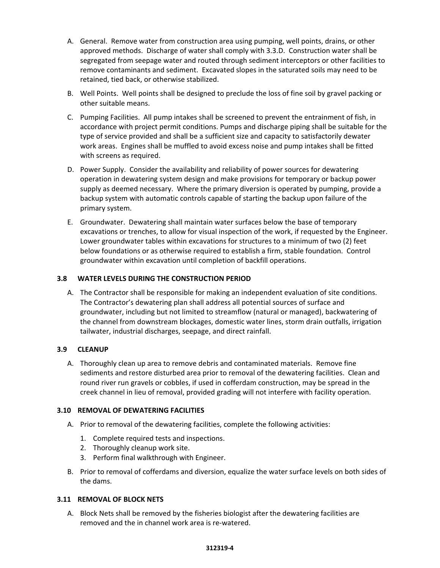- A. General. Remove water from construction area using pumping, well points, drains, or other approved methods. Discharge of water shall comply with 3.3.D. Construction water shall be segregated from seepage water and routed through sediment interceptors or other facilities to remove contaminants and sediment. Excavated slopes in the saturated soils may need to be retained, tied back, or otherwise stabilized.
- B. Well Points. Well points shall be designed to preclude the loss of fine soil by gravel packing or other suitable means.
- C. Pumping Facilities. All pump intakes shall be screened to prevent the entrainment of fish, in accordance with project permit conditions. Pumps and discharge piping shall be suitable for the type of service provided and shall be a sufficient size and capacity to satisfactorily dewater work areas. Engines shall be muffled to avoid excess noise and pump intakes shall be fitted with screens as required.
- D. Power Supply. Consider the availability and reliability of power sources for dewatering operation in dewatering system design and make provisions for temporary or backup power supply as deemed necessary. Where the primary diversion is operated by pumping, provide a backup system with automatic controls capable of starting the backup upon failure of the primary system.
- E. Groundwater. Dewatering shall maintain water surfaces below the base of temporary excavations or trenches, to allow for visual inspection of the work, if requested by the Engineer. Lower groundwater tables within excavations for structures to a minimum of two (2) feet below foundations or as otherwise required to establish a firm, stable foundation. Control groundwater within excavation until completion of backfill operations.

#### **3.8 WATER LEVELS DURING THE CONSTRUCTION PERIOD**

A. The Contractor shall be responsible for making an independent evaluation of site conditions. The Contractor's dewatering plan shall address all potential sources of surface and groundwater, including but not limited to streamflow (natural or managed), backwatering of the channel from downstream blockages, domestic water lines, storm drain outfalls, irrigation tailwater, industrial discharges, seepage, and direct rainfall.

#### **3.9 CLEANUP**

A. Thoroughly clean up area to remove debris and contaminated materials. Remove fine sediments and restore disturbed area prior to removal of the dewatering facilities. Clean and round river run gravels or cobbles, if used in cofferdam construction, may be spread in the creek channel in lieu of removal, provided grading will not interfere with facility operation.

#### **3.10 REMOVAL OF DEWATERING FACILITIES**

- A. Prior to removal of the dewatering facilities, complete the following activities:
	- 1. Complete required tests and inspections.
	- 2. Thoroughly cleanup work site.
	- 3. Perform final walkthrough with Engineer.
- B. Prior to removal of cofferdams and diversion, equalize the water surface levels on both sides of the dams.

#### **3.11 REMOVAL OF BLOCK NETS**

A. Block Nets shall be removed by the fisheries biologist after the dewatering facilities are removed and the in channel work area is re‐watered.

#### **312319‐4**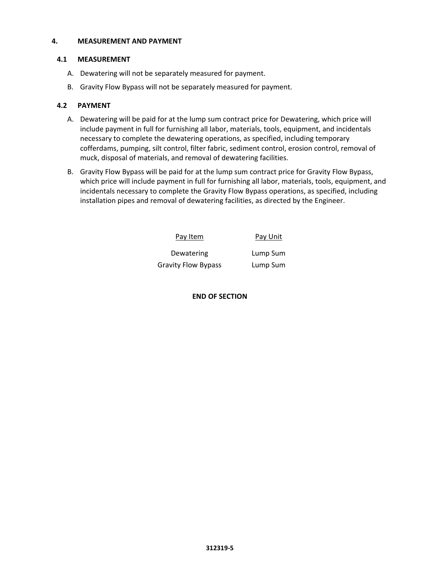#### **4. MEASUREMENT AND PAYMENT**

#### **4.1 MEASUREMENT**

- A. Dewatering will not be separately measured for payment.
- B. Gravity Flow Bypass will not be separately measured for payment.

#### **4.2 PAYMENT**

- A. Dewatering will be paid for at the lump sum contract price for Dewatering, which price will include payment in full for furnishing all labor, materials, tools, equipment, and incidentals necessary to complete the dewatering operations, as specified, including temporary cofferdams, pumping, silt control, filter fabric, sediment control, erosion control, removal of muck, disposal of materials, and removal of dewatering facilities.
- B. Gravity Flow Bypass will be paid for at the lump sum contract price for Gravity Flow Bypass, which price will include payment in full for furnishing all labor, materials, tools, equipment, and incidentals necessary to complete the Gravity Flow Bypass operations, as specified, including installation pipes and removal of dewatering facilities, as directed by the Engineer.

| Pay Item                   | Pay Unit |
|----------------------------|----------|
| Dewatering                 | Lump Sum |
| <b>Gravity Flow Bypass</b> | Lump Sum |

#### **END OF SECTION**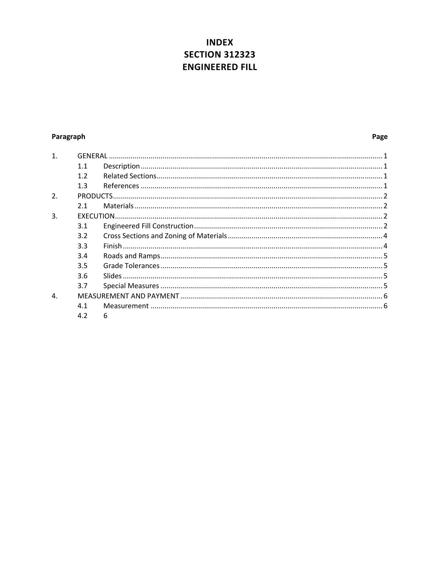### **INDEX SECTION 312323 ENGINEERED FILL**

### Paragraph

#### Page

| $\mathbf{1}$     |     |   |  |
|------------------|-----|---|--|
|                  | 1.1 |   |  |
|                  | 1.2 |   |  |
|                  | 1.3 |   |  |
| 2.               |     |   |  |
|                  | 2.1 |   |  |
| $\overline{3}$ . |     |   |  |
|                  | 3.1 |   |  |
|                  | 3.2 |   |  |
|                  | 3.3 |   |  |
|                  | 3.4 |   |  |
|                  | 3.5 |   |  |
|                  | 3.6 |   |  |
|                  | 3.7 |   |  |
| $\mathbf{4}$ .   |     |   |  |
|                  | 4.1 |   |  |
|                  | 4.2 | 6 |  |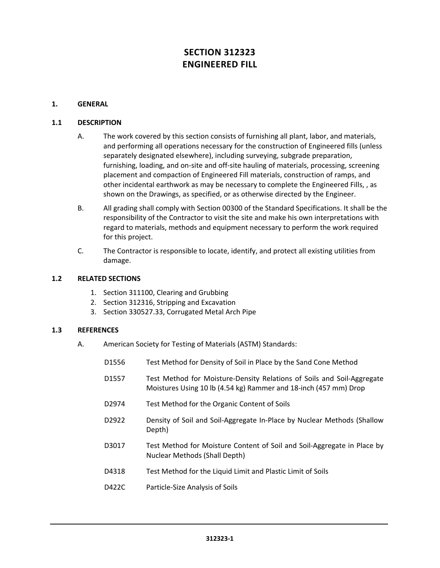### **SECTION 312323 ENGINEERED FILL**

#### **1. GENERAL**

#### **1.1 DESCRIPTION**

- A. The work covered by this section consists of furnishing all plant, labor, and materials, and performing all operations necessary for the construction of Engineered fills (unless separately designated elsewhere), including surveying, subgrade preparation, furnishing, loading, and on‐site and off‐site hauling of materials, processing, screening placement and compaction of Engineered Fill materials, construction of ramps, and other incidental earthwork as may be necessary to complete the Engineered Fills, , as shown on the Drawings, as specified, or as otherwise directed by the Engineer.
- B. All grading shall comply with Section 00300 of the Standard Specifications. It shall be the responsibility of the Contractor to visit the site and make his own interpretations with regard to materials, methods and equipment necessary to perform the work required for this project.
- C. The Contractor is responsible to locate, identify, and protect all existing utilities from damage.

#### **1.2 RELATED SECTIONS**

- 1. Section 311100, Clearing and Grubbing
- 2. Section 312316, Stripping and Excavation
- 3. Section 330527.33, Corrugated Metal Arch Pipe

#### **1.3 REFERENCES**

- A. American Society for Testing of Materials (ASTM) Standards:
	- D1556 Test Method for Density of Soil in Place by the Sand Cone Method
	- D1557 Test Method for Moisture-Density Relations of Soils and Soil-Aggregate Moistures Using 10 lb (4.54 kg) Rammer and 18‐inch (457 mm) Drop
	- D2974 Test Method for the Organic Content of Soils
	- D2922 Density of Soil and Soil‐Aggregate In‐Place by Nuclear Methods (Shallow Depth)
	- D3017 Test Method for Moisture Content of Soil and Soil-Aggregate in Place by Nuclear Methods (Shall Depth)
	- D4318 Test Method for the Liquid Limit and Plastic Limit of Soils
	- D422C Particle-Size Analysis of Soils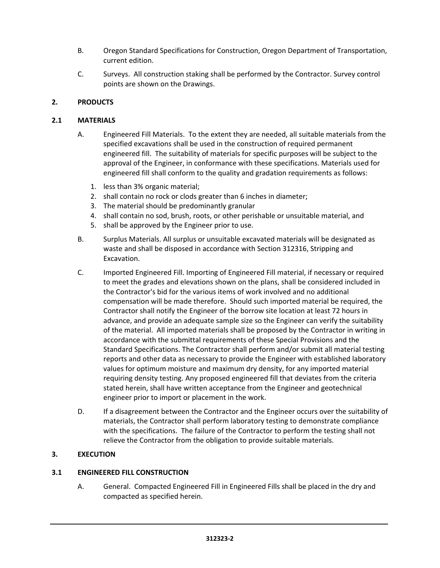- B. Oregon Standard Specifications for Construction, Oregon Department of Transportation, current edition.
- C. Surveys. All construction staking shall be performed by the Contractor. Survey control points are shown on the Drawings.

#### **2. PRODUCTS**

#### **2.1 MATERIALS**

- A. Engineered Fill Materials. To the extent they are needed, all suitable materials from the specified excavations shall be used in the construction of required permanent engineered fill. The suitability of materials for specific purposes will be subject to the approval of the Engineer, in conformance with these specifications. Materials used for engineered fill shall conform to the quality and gradation requirements as follows:
	- 1. less than 3% organic material;
	- 2. shall contain no rock or clods greater than 6 inches in diameter;
	- 3. The material should be predominantly granular
	- 4. shall contain no sod, brush, roots, or other perishable or unsuitable material, and
	- 5. shall be approved by the Engineer prior to use.
- B. Surplus Materials. All surplus or unsuitable excavated materials will be designated as waste and shall be disposed in accordance with Section 312316, Stripping and Excavation.
- C. Imported Engineered Fill. Importing of Engineered Fill material, if necessary or required to meet the grades and elevations shown on the plans, shall be considered included in the Contractor's bid for the various items of work involved and no additional compensation will be made therefore. Should such imported material be required, the Contractor shall notify the Engineer of the borrow site location at least 72 hours in advance, and provide an adequate sample size so the Engineer can verify the suitability of the material. All imported materials shall be proposed by the Contractor in writing in accordance with the submittal requirements of these Special Provisions and the Standard Specifications. The Contractor shall perform and/or submit all material testing reports and other data as necessary to provide the Engineer with established laboratory values for optimum moisture and maximum dry density, for any imported material requiring density testing. Any proposed engineered fill that deviates from the criteria stated herein, shall have written acceptance from the Engineer and geotechnical engineer prior to import or placement in the work.
- D. If a disagreement between the Contractor and the Engineer occurs over the suitability of materials, the Contractor shall perform laboratory testing to demonstrate compliance with the specifications. The failure of the Contractor to perform the testing shall not relieve the Contractor from the obligation to provide suitable materials.

#### **3. EXECUTION**

#### **3.1 ENGINEERED FILL CONSTRUCTION**

A. General. Compacted Engineered Fill in Engineered Fills shall be placed in the dry and compacted as specified herein.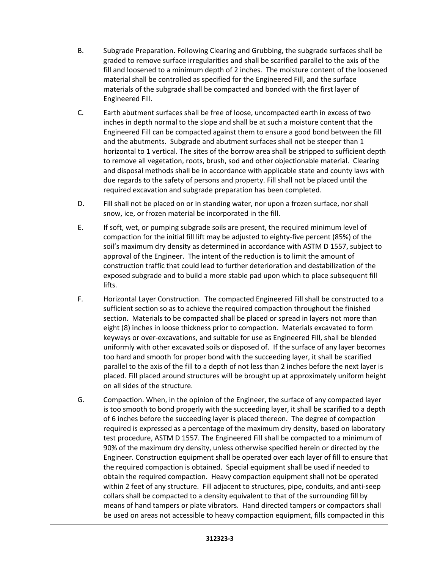- B. Subgrade Preparation. Following Clearing and Grubbing, the subgrade surfaces shall be graded to remove surface irregularities and shall be scarified parallel to the axis of the fill and loosened to a minimum depth of 2 inches. The moisture content of the loosened material shall be controlled as specified for the Engineered Fill, and the surface materials of the subgrade shall be compacted and bonded with the first layer of Engineered Fill.
- C. Earth abutment surfaces shall be free of loose, uncompacted earth in excess of two inches in depth normal to the slope and shall be at such a moisture content that the Engineered Fill can be compacted against them to ensure a good bond between the fill and the abutments. Subgrade and abutment surfaces shall not be steeper than 1 horizontal to 1 vertical. The sites of the borrow area shall be stripped to sufficient depth to remove all vegetation, roots, brush, sod and other objectionable material. Clearing and disposal methods shall be in accordance with applicable state and county laws with due regards to the safety of persons and property. Fill shall not be placed until the required excavation and subgrade preparation has been completed.
- D. Fill shall not be placed on or in standing water, nor upon a frozen surface, nor shall snow, ice, or frozen material be incorporated in the fill.
- E. If soft, wet, or pumping subgrade soils are present, the required minimum level of compaction for the initial fill lift may be adjusted to eighty‐five percent (85%) of the soil's maximum dry density as determined in accordance with ASTM D 1557, subject to approval of the Engineer. The intent of the reduction is to limit the amount of construction traffic that could lead to further deterioration and destabilization of the exposed subgrade and to build a more stable pad upon which to place subsequent fill lifts.
- F. Horizontal Layer Construction. The compacted Engineered Fill shall be constructed to a sufficient section so as to achieve the required compaction throughout the finished section. Materials to be compacted shall be placed or spread in layers not more than eight (8) inches in loose thickness prior to compaction. Materials excavated to form keyways or over‐excavations, and suitable for use as Engineered Fill, shall be blended uniformly with other excavated soils or disposed of. If the surface of any layer becomes too hard and smooth for proper bond with the succeeding layer, it shall be scarified parallel to the axis of the fill to a depth of not less than 2 inches before the next layer is placed. Fill placed around structures will be brought up at approximately uniform height on all sides of the structure.
- G. Compaction. When, in the opinion of the Engineer, the surface of any compacted layer is too smooth to bond properly with the succeeding layer, it shall be scarified to a depth of 6 inches before the succeeding layer is placed thereon. The degree of compaction required is expressed as a percentage of the maximum dry density, based on laboratory test procedure, ASTM D 1557. The Engineered Fill shall be compacted to a minimum of 90% of the maximum dry density, unless otherwise specified herein or directed by the Engineer. Construction equipment shall be operated over each layer of fill to ensure that the required compaction is obtained. Special equipment shall be used if needed to obtain the required compaction. Heavy compaction equipment shall not be operated within 2 feet of any structure. Fill adjacent to structures, pipe, conduits, and anti‐seep collars shall be compacted to a density equivalent to that of the surrounding fill by means of hand tampers or plate vibrators. Hand directed tampers or compactors shall be used on areas not accessible to heavy compaction equipment, fills compacted in this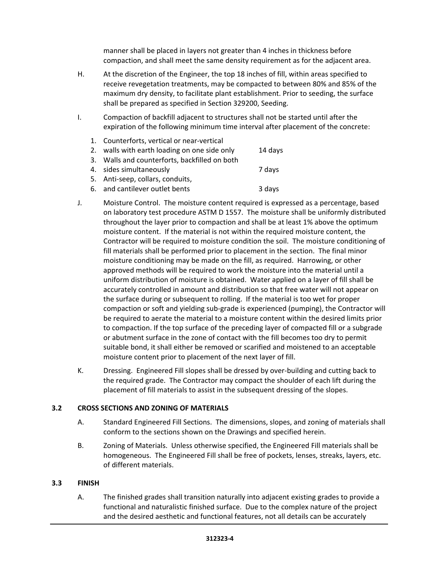manner shall be placed in layers not greater than 4 inches in thickness before compaction, and shall meet the same density requirement as for the adjacent area.

- H. At the discretion of the Engineer, the top 18 inches of fill, within areas specified to receive revegetation treatments, may be compacted to between 80% and 85% of the maximum dry density, to facilitate plant establishment. Prior to seeding, the surface shall be prepared as specified in Section 329200, Seeding.
- I. Compaction of backfill adjacent to structures shall not be started until after the expiration of the following minimum time interval after placement of the concrete:
	- 1. Counterforts, vertical or near‐vertical 2. walls with earth loading on one side only 14 days 3. Walls and counterforts, backfilled on both 4. sides simultaneously **3** and the state of the state of the state of the state of the state of the state of the state of the state of the state of the state of the state of the state of the state of the state of the stat 5. Anti‐seep, collars, conduits, 6. and cantilever outlet bents 3 days
- J. Moisture Control. The moisture content required is expressed as a percentage, based on laboratory test procedure ASTM D 1557. The moisture shall be uniformly distributed throughout the layer prior to compaction and shall be at least 1% above the optimum moisture content. If the material is not within the required moisture content, the Contractor will be required to moisture condition the soil. The moisture conditioning of fill materials shall be performed prior to placement in the section. The final minor moisture conditioning may be made on the fill, as required. Harrowing, or other approved methods will be required to work the moisture into the material until a uniform distribution of moisture is obtained. Water applied on a layer of fill shall be accurately controlled in amount and distribution so that free water will not appear on the surface during or subsequent to rolling. If the material is too wet for proper compaction or soft and yielding sub‐grade is experienced (pumping), the Contractor will be required to aerate the material to a moisture content within the desired limits prior to compaction. If the top surface of the preceding layer of compacted fill or a subgrade or abutment surface in the zone of contact with the fill becomes too dry to permit suitable bond, it shall either be removed or scarified and moistened to an acceptable moisture content prior to placement of the next layer of fill.
- K. Dressing. Engineered Fill slopes shall be dressed by over‐building and cutting back to the required grade. The Contractor may compact the shoulder of each lift during the placement of fill materials to assist in the subsequent dressing of the slopes.

#### **3.2 CROSS SECTIONS AND ZONING OF MATERIALS**

- A. Standard Engineered Fill Sections. The dimensions, slopes, and zoning of materials shall conform to the sections shown on the Drawings and specified herein.
- B. Zoning of Materials. Unless otherwise specified, the Engineered Fill materials shall be homogeneous. The Engineered Fill shall be free of pockets, lenses, streaks, layers, etc. of different materials.

#### **3.3 FINISH**

A. The finished grades shall transition naturally into adjacent existing grades to provide a functional and naturalistic finished surface. Due to the complex nature of the project and the desired aesthetic and functional features, not all details can be accurately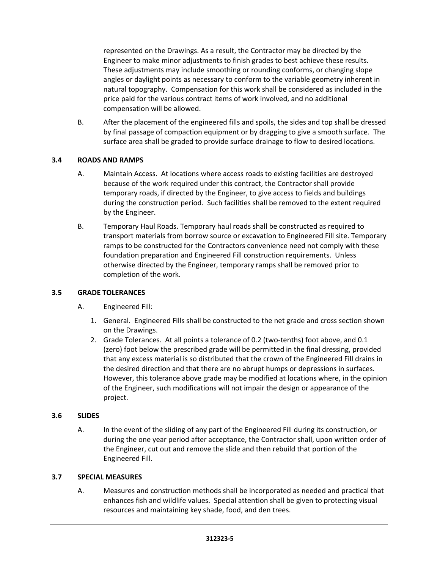represented on the Drawings. As a result, the Contractor may be directed by the Engineer to make minor adjustments to finish grades to best achieve these results. These adjustments may include smoothing or rounding conforms, or changing slope angles or daylight points as necessary to conform to the variable geometry inherent in natural topography. Compensation for this work shall be considered as included in the price paid for the various contract items of work involved, and no additional compensation will be allowed.

B. After the placement of the engineered fills and spoils, the sides and top shall be dressed by final passage of compaction equipment or by dragging to give a smooth surface. The surface area shall be graded to provide surface drainage to flow to desired locations.

#### **3.4 ROADS AND RAMPS**

- A. Maintain Access. At locations where access roads to existing facilities are destroyed because of the work required under this contract, the Contractor shall provide temporary roads, if directed by the Engineer, to give access to fields and buildings during the construction period. Such facilities shall be removed to the extent required by the Engineer.
- B. Temporary Haul Roads. Temporary haul roads shall be constructed as required to transport materials from borrow source or excavation to Engineered Fill site. Temporary ramps to be constructed for the Contractors convenience need not comply with these foundation preparation and Engineered Fill construction requirements. Unless otherwise directed by the Engineer, temporary ramps shall be removed prior to completion of the work.

#### **3.5 GRADE TOLERANCES**

- A. Engineered Fill:
	- 1. General. Engineered Fills shall be constructed to the net grade and cross section shown on the Drawings.
	- 2. Grade Tolerances. At all points a tolerance of 0.2 (two-tenths) foot above, and 0.1 (zero) foot below the prescribed grade will be permitted in the final dressing, provided that any excess material is so distributed that the crown of the Engineered Fill drains in the desired direction and that there are no abrupt humps or depressions in surfaces. However, this tolerance above grade may be modified at locations where, in the opinion of the Engineer, such modifications will not impair the design or appearance of the project.

#### **3.6 SLIDES**

A. In the event of the sliding of any part of the Engineered Fill during its construction, or during the one year period after acceptance, the Contractor shall, upon written order of the Engineer, cut out and remove the slide and then rebuild that portion of the Engineered Fill.

#### **3.7 SPECIAL MEASURES**

A. Measures and construction methods shall be incorporated as needed and practical that enhances fish and wildlife values. Special attention shall be given to protecting visual resources and maintaining key shade, food, and den trees.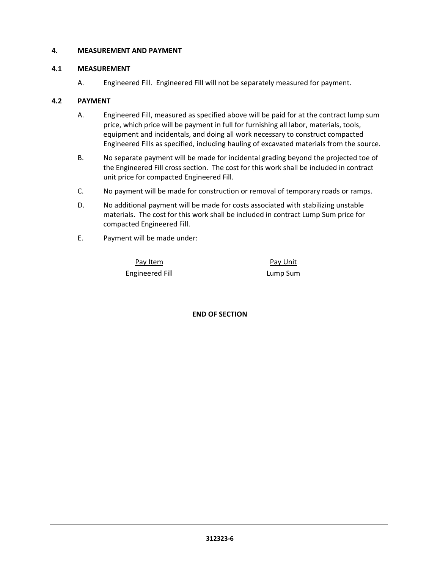#### **4. MEASUREMENT AND PAYMENT**

#### **4.1 MEASUREMENT**

A. Engineered Fill. Engineered Fill will not be separately measured for payment.

#### **4.2 PAYMENT**

- A. Engineered Fill, measured as specified above will be paid for at the contract lump sum price, which price will be payment in full for furnishing all labor, materials, tools, equipment and incidentals, and doing all work necessary to construct compacted Engineered Fills as specified, including hauling of excavated materials from the source.
- B. No separate payment will be made for incidental grading beyond the projected toe of the Engineered Fill cross section. The cost for this work shall be included in contract unit price for compacted Engineered Fill.
- C. No payment will be made for construction or removal of temporary roads or ramps.
- D. No additional payment will be made for costs associated with stabilizing unstable materials. The cost for this work shall be included in contract Lump Sum price for compacted Engineered Fill.
- E. Payment will be made under:

Pay Item **Pay Item** Pay Unit Engineered Fill **Lump Sum** 

 **END OF SECTION**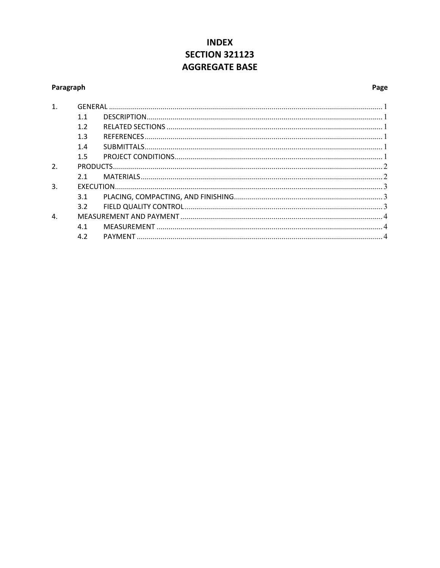### **INDEX SECTION 321123 AGGREGATE BASE**

#### Paragraph

#### Page

| 1. |               |  |  |
|----|---------------|--|--|
|    | 1.1           |  |  |
|    | 1.2           |  |  |
|    | 1.3           |  |  |
|    | 1.4           |  |  |
|    | 1.5           |  |  |
| 2. |               |  |  |
|    | 2.1           |  |  |
| 3. |               |  |  |
|    | 3.1           |  |  |
|    | $3.2^{\circ}$ |  |  |
| 4. |               |  |  |
|    | 4.1           |  |  |
|    | 4.2           |  |  |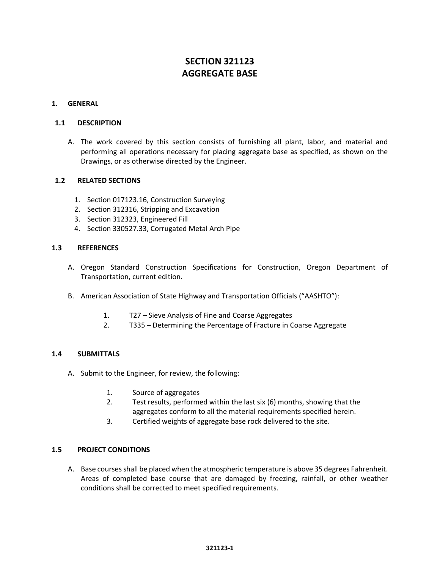### **SECTION 321123 AGGREGATE BASE**

#### **1. GENERAL**

#### **1.1 DESCRIPTION**

A. The work covered by this section consists of furnishing all plant, labor, and material and performing all operations necessary for placing aggregate base as specified, as shown on the Drawings, or as otherwise directed by the Engineer.

#### **1.2 RELATED SECTIONS**

- 1. Section 017123.16, Construction Surveying
- 2. Section 312316, Stripping and Excavation
- 3. Section 312323, Engineered Fill
- 4. Section 330527.33, Corrugated Metal Arch Pipe

#### **1.3 REFERENCES**

- A. Oregon Standard Construction Specifications for Construction, Oregon Department of Transportation, current edition.
- B. American Association of State Highway and Transportation Officials ("AASHTO"):
	- 1. T27 Sieve Analysis of Fine and Coarse Aggregates
	- 2. T335 Determining the Percentage of Fracture in Coarse Aggregate

#### **1.4 SUBMITTALS**

- A. Submit to the Engineer, for review, the following:
	- 1. Source of aggregates
	- 2. Test results, performed within the last six (6) months, showing that the aggregates conform to all the material requirements specified herein.
	- 3. Certified weights of aggregate base rock delivered to the site.

#### **1.5 PROJECT CONDITIONS**

A. Base courses shall be placed when the atmospheric temperature is above 35 degrees Fahrenheit. Areas of completed base course that are damaged by freezing, rainfall, or other weather conditions shall be corrected to meet specified requirements.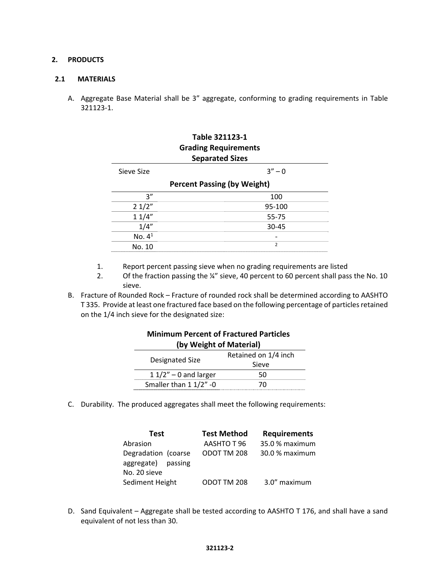#### **2. PRODUCTS**

#### **2.1 MATERIALS**

A. Aggregate Base Material shall be 3" aggregate, conforming to grading requirements in Table 321123‐1.

| Table 321123-1<br><b>Grading Requirements</b> |                                    |  |  |
|-----------------------------------------------|------------------------------------|--|--|
|                                               | <b>Separated Sizes</b>             |  |  |
| Sieve Size                                    | $3'' - 0$                          |  |  |
|                                               | <b>Percent Passing (by Weight)</b> |  |  |
| 3''                                           | 100                                |  |  |
| 21/2"                                         | 95-100                             |  |  |
| 11/4"                                         | 55-75                              |  |  |
| 1/4''                                         | $30 - 45$                          |  |  |
| No. $41$                                      |                                    |  |  |
| No. 10                                        | $\mathcal{P}$                      |  |  |

- 1. Report percent passing sieve when no grading requirements are listed
- 2. Of the fraction passing the ¼" sieve, 40 percent to 60 percent shall pass the No. 10 sieve.
- B. Fracture of Rounded Rock Fracture of rounded rock shall be determined according to AASHTO T 335. Provide at least one fractured face based on the following percentage of particles retained on the 1/4 inch sieve for the designated size:

| <b>Minimum Percent of Fractured Particles</b><br>(by Weight of Material) |                               |  |
|--------------------------------------------------------------------------|-------------------------------|--|
| Designated Size                                                          | Retained on 1/4 inch<br>Sieve |  |
| $11/2" - 0$ and larger                                                   | 50                            |  |
| Smaller than 1 1/2" -0                                                   | 70                            |  |

C. Durability. The produced aggregates shall meet the following requirements:

| Test                                                      | <b>Test Method</b> | <b>Requirements</b> |
|-----------------------------------------------------------|--------------------|---------------------|
| Abrasion                                                  | AASHTO T 96        | 35.0 % maximum      |
| Degradation (coarse<br>aggregate) passing<br>No. 20 sieve | ODOT TM 208        | 30.0 % maximum      |
| Sediment Height                                           | ODOT TM 208        | 3.0" maximum        |

D. Sand Equivalent – Aggregate shall be tested according to AASHTO T 176, and shall have a sand equivalent of not less than 30.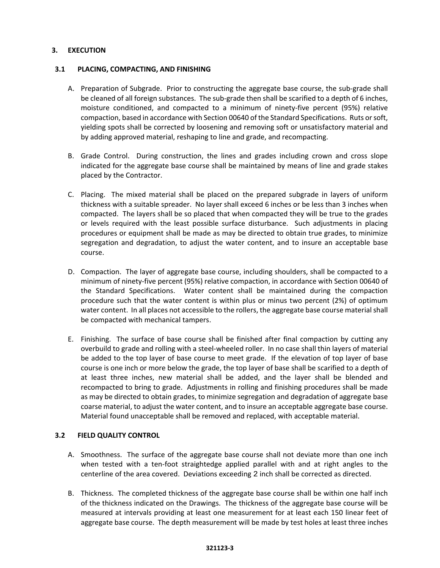#### **3. EXECUTION**

#### **3.1 PLACING, COMPACTING, AND FINISHING**

- A. Preparation of Subgrade. Prior to constructing the aggregate base course, the sub‐grade shall be cleaned of all foreign substances. The sub-grade then shall be scarified to a depth of 6 inches, moisture conditioned, and compacted to a minimum of ninety-five percent (95%) relative compaction, based in accordance with Section 00640 of the Standard Specifications. Ruts or soft, yielding spots shall be corrected by loosening and removing soft or unsatisfactory material and by adding approved material, reshaping to line and grade, and recompacting.
- B. Grade Control. During construction, the lines and grades including crown and cross slope indicated for the aggregate base course shall be maintained by means of line and grade stakes placed by the Contractor.
- C. Placing. The mixed material shall be placed on the prepared subgrade in layers of uniform thickness with a suitable spreader. No layer shall exceed 6 inches or be less than 3 inches when compacted. The layers shall be so placed that when compacted they will be true to the grades or levels required with the least possible surface disturbance. Such adjustments in placing procedures or equipment shall be made as may be directed to obtain true grades, to minimize segregation and degradation, to adjust the water content, and to insure an acceptable base course.
- D. Compaction. The layer of aggregate base course, including shoulders, shall be compacted to a minimum of ninety‐five percent (95%) relative compaction, in accordance with Section 00640 of the Standard Specifications. Water content shall be maintained during the compaction procedure such that the water content is within plus or minus two percent (2%) of optimum water content. In all places not accessible to the rollers, the aggregate base course material shall be compacted with mechanical tampers.
- E. Finishing. The surface of base course shall be finished after final compaction by cutting any overbuild to grade and rolling with a steel‐wheeled roller. In no case shall thin layers of material be added to the top layer of base course to meet grade. If the elevation of top layer of base course is one inch or more below the grade, the top layer of base shall be scarified to a depth of at least three inches, new material shall be added, and the layer shall be blended and recompacted to bring to grade. Adjustments in rolling and finishing procedures shall be made as may be directed to obtain grades, to minimize segregation and degradation of aggregate base coarse material, to adjust the water content, and to insure an acceptable aggregate base course. Material found unacceptable shall be removed and replaced, with acceptable material.

#### **3.2 FIELD QUALITY CONTROL**

- A. Smoothness. The surface of the aggregate base course shall not deviate more than one inch when tested with a ten-foot straightedge applied parallel with and at right angles to the centerline of the area covered. Deviations exceeding 2 inch shall be corrected as directed.
- B. Thickness. The completed thickness of the aggregate base course shall be within one half inch of the thickness indicated on the Drawings. The thickness of the aggregate base course will be measured at intervals providing at least one measurement for at least each 150 linear feet of aggregate base course. The depth measurement will be made by test holes at least three inches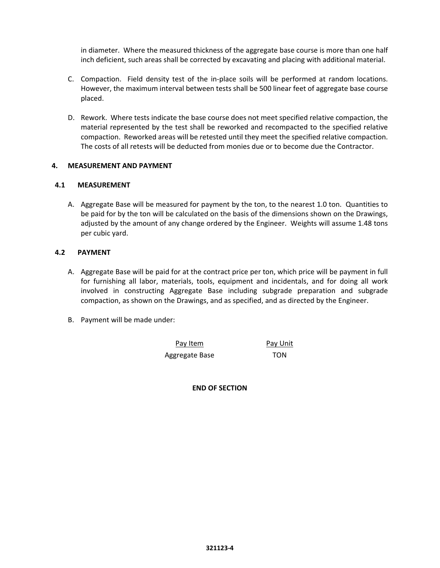in diameter. Where the measured thickness of the aggregate base course is more than one half inch deficient, such areas shall be corrected by excavating and placing with additional material.

- C. Compaction. Field density test of the in‐place soils will be performed at random locations. However, the maximum interval between tests shall be 500 linear feet of aggregate base course placed.
- D. Rework. Where tests indicate the base course does not meet specified relative compaction, the material represented by the test shall be reworked and recompacted to the specified relative compaction. Reworked areas will be retested until they meet the specified relative compaction. The costs of all retests will be deducted from monies due or to become due the Contractor.

#### **4. MEASUREMENT AND PAYMENT**

#### **4.1 MEASUREMENT**

A. Aggregate Base will be measured for payment by the ton, to the nearest 1.0 ton. Quantities to be paid for by the ton will be calculated on the basis of the dimensions shown on the Drawings, adjusted by the amount of any change ordered by the Engineer. Weights will assume 1.48 tons per cubic yard.

#### **4.2 PAYMENT**

- A. Aggregate Base will be paid for at the contract price per ton, which price will be payment in full for furnishing all labor, materials, tools, equipment and incidentals, and for doing all work involved in constructing Aggregate Base including subgrade preparation and subgrade compaction, as shown on the Drawings, and as specified, and as directed by the Engineer.
- B. Payment will be made under:

Aggregate Base TON

Pay Item Pay Unit

**END OF SECTION**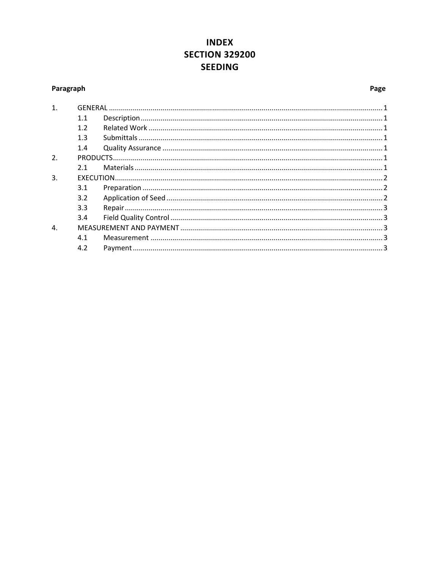### **INDEX SECTION 329200 SEEDING**

#### Paragraph

### Page

| 1.               |     |  |  |
|------------------|-----|--|--|
|                  | 1.1 |  |  |
|                  | 1.2 |  |  |
|                  | 1.3 |  |  |
|                  | 1.4 |  |  |
| $\overline{2}$ . |     |  |  |
|                  | 2.1 |  |  |
| 3.               |     |  |  |
|                  | 3.1 |  |  |
|                  | 3.2 |  |  |
|                  | 3.3 |  |  |
|                  | 3.4 |  |  |
| 4.               |     |  |  |
|                  | 4.1 |  |  |
|                  | 4.2 |  |  |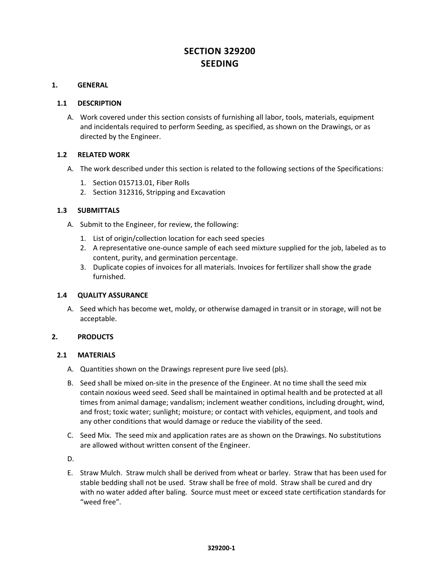### **SECTION 329200 SEEDING**

#### **1. GENERAL**

#### **1.1 DESCRIPTION**

A. Work covered under this section consists of furnishing all labor, tools, materials, equipment and incidentals required to perform Seeding, as specified, as shown on the Drawings, or as directed by the Engineer.

#### **1.2 RELATED WORK**

- A. The work described under this section is related to the following sections of the Specifications:
	- 1. Section 015713.01, Fiber Rolls
	- 2. Section 312316, Stripping and Excavation

#### **1.3 SUBMITTALS**

- A. Submit to the Engineer, for review, the following:
	- 1. List of origin/collection location for each seed species
	- 2. A representative one-ounce sample of each seed mixture supplied for the job, labeled as to content, purity, and germination percentage.
	- 3. Duplicate copies of invoices for all materials. Invoices for fertilizer shall show the grade furnished.

#### **1.4 QUALITY ASSURANCE**

A. Seed which has become wet, moldy, or otherwise damaged in transit or in storage, will not be acceptable.

#### **2. PRODUCTS**

#### **2.1 MATERIALS**

- A. Quantities shown on the Drawings represent pure live seed (pls).
- B. Seed shall be mixed on‐site in the presence of the Engineer. At no time shall the seed mix contain noxious weed seed. Seed shall be maintained in optimal health and be protected at all times from animal damage; vandalism; inclement weather conditions, including drought, wind, and frost; toxic water; sunlight; moisture; or contact with vehicles, equipment, and tools and any other conditions that would damage or reduce the viability of the seed.
- C. Seed Mix. The seed mix and application rates are as shown on the Drawings. No substitutions are allowed without written consent of the Engineer.

D.

E. Straw Mulch. Straw mulch shall be derived from wheat or barley. Straw that has been used for stable bedding shall not be used. Straw shall be free of mold. Straw shall be cured and dry with no water added after baling. Source must meet or exceed state certification standards for "weed free".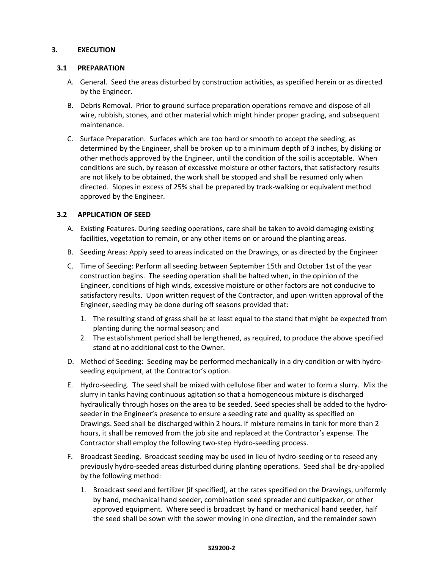#### **3. EXECUTION**

#### **3.1 PREPARATION**

- A. General. Seed the areas disturbed by construction activities, as specified herein or as directed by the Engineer.
- B. Debris Removal. Prior to ground surface preparation operations remove and dispose of all wire, rubbish, stones, and other material which might hinder proper grading, and subsequent maintenance.
- C. Surface Preparation. Surfaces which are too hard or smooth to accept the seeding, as determined by the Engineer, shall be broken up to a minimum depth of 3 inches, by disking or other methods approved by the Engineer, until the condition of the soil is acceptable. When conditions are such, by reason of excessive moisture or other factors, that satisfactory results are not likely to be obtained, the work shall be stopped and shall be resumed only when directed. Slopes in excess of 25% shall be prepared by track‐walking or equivalent method approved by the Engineer.

#### **3.2 APPLICATION OF SEED**

- A. Existing Features. During seeding operations, care shall be taken to avoid damaging existing facilities, vegetation to remain, or any other items on or around the planting areas.
- B. Seeding Areas: Apply seed to areas indicated on the Drawings, or as directed by the Engineer
- C. Time of Seeding: Perform all seeding between September 15th and October 1st of the year construction begins. The seeding operation shall be halted when, in the opinion of the Engineer, conditions of high winds, excessive moisture or other factors are not conducive to satisfactory results. Upon written request of the Contractor, and upon written approval of the Engineer, seeding may be done during off seasons provided that:
	- 1. The resulting stand of grass shall be at least equal to the stand that might be expected from planting during the normal season; and
	- 2. The establishment period shall be lengthened, as required, to produce the above specified stand at no additional cost to the Owner.
- D. Method of Seeding: Seeding may be performed mechanically in a dry condition or with hydroseeding equipment, at the Contractor's option.
- E. Hydro‐seeding. The seed shall be mixed with cellulose fiber and water to form a slurry. Mix the slurry in tanks having continuous agitation so that a homogeneous mixture is discharged hydraulically through hoses on the area to be seeded. Seed species shall be added to the hydro‐ seeder in the Engineer's presence to ensure a seeding rate and quality as specified on Drawings. Seed shall be discharged within 2 hours. If mixture remains in tank for more than 2 hours, it shall be removed from the job site and replaced at the Contractor's expense. The Contractor shall employ the following two‐step Hydro‐seeding process.
- F. Broadcast Seeding. Broadcast seeding may be used in lieu of hydro-seeding or to reseed any previously hydro‐seeded areas disturbed during planting operations. Seed shall be dry‐applied by the following method:
	- 1. Broadcast seed and fertilizer (if specified), at the rates specified on the Drawings, uniformly by hand, mechanical hand seeder, combination seed spreader and cultipacker, or other approved equipment. Where seed is broadcast by hand or mechanical hand seeder, half the seed shall be sown with the sower moving in one direction, and the remainder sown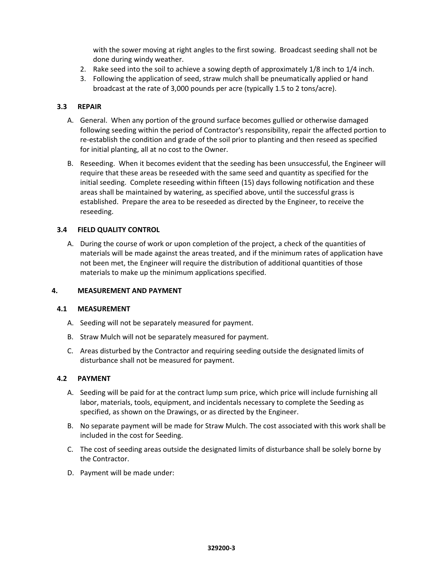with the sower moving at right angles to the first sowing. Broadcast seeding shall not be done during windy weather.

- 2. Rake seed into the soil to achieve a sowing depth of approximately 1/8 inch to 1/4 inch.
- 3. Following the application of seed, straw mulch shall be pneumatically applied or hand broadcast at the rate of 3,000 pounds per acre (typically 1.5 to 2 tons/acre).

#### **3.3 REPAIR**

- A. General. When any portion of the ground surface becomes gullied or otherwise damaged following seeding within the period of Contractor's responsibility, repair the affected portion to re‐establish the condition and grade of the soil prior to planting and then reseed as specified for initial planting, all at no cost to the Owner.
- B. Reseeding. When it becomes evident that the seeding has been unsuccessful, the Engineer will require that these areas be reseeded with the same seed and quantity as specified for the initial seeding. Complete reseeding within fifteen (15) days following notification and these areas shall be maintained by watering, as specified above, until the successful grass is established. Prepare the area to be reseeded as directed by the Engineer, to receive the reseeding.

#### **3.4 FIELD QUALITY CONTROL**

A. During the course of work or upon completion of the project, a check of the quantities of materials will be made against the areas treated, and if the minimum rates of application have not been met, the Engineer will require the distribution of additional quantities of those materials to make up the minimum applications specified.

#### **4. MEASUREMENT AND PAYMENT**

#### **4.1 MEASUREMENT**

- A. Seeding will not be separately measured for payment.
- B. Straw Mulch will not be separately measured for payment.
- C. Areas disturbed by the Contractor and requiring seeding outside the designated limits of disturbance shall not be measured for payment.

#### **4.2 PAYMENT**

- A. Seeding will be paid for at the contract lump sum price, which price will include furnishing all labor, materials, tools, equipment, and incidentals necessary to complete the Seeding as specified, as shown on the Drawings, or as directed by the Engineer.
- B. No separate payment will be made for Straw Mulch. The cost associated with this work shall be included in the cost for Seeding.
- C. The cost of seeding areas outside the designated limits of disturbance shall be solely borne by the Contractor.
- D. Payment will be made under: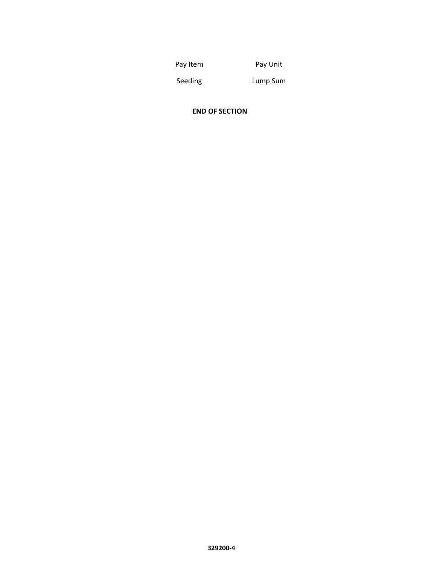Pay Item

Pay Unit

Seeding

Lump Sum

**END OF SECTION**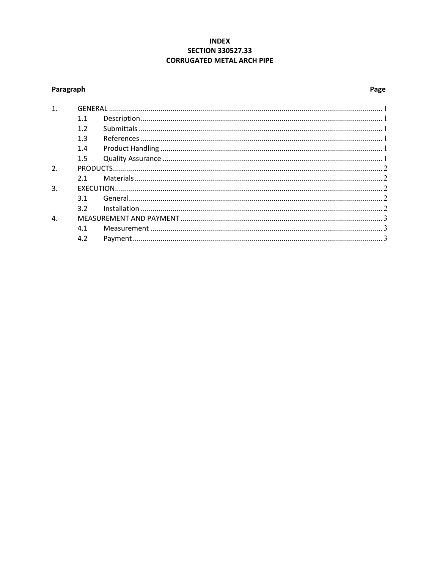#### **INDEX SECTION 330527.33 CORRUGATED METAL ARCH PIPE**

### Paragraph

#### Page

| 1.               |                  |                                                                                           |  |
|------------------|------------------|-------------------------------------------------------------------------------------------|--|
|                  | 1.1              | $\textbf{Description} \textcolor{red}{\textbf{a} \textbf{1}} \textcolor{red}{\textbf{1}}$ |  |
|                  | 1.2              |                                                                                           |  |
|                  | 1.3              |                                                                                           |  |
|                  | 1.4              |                                                                                           |  |
|                  | 1.5              |                                                                                           |  |
| $\overline{2}$   |                  |                                                                                           |  |
|                  | 2.1              |                                                                                           |  |
| 3.               |                  |                                                                                           |  |
|                  | 3.1              |                                                                                           |  |
|                  | 3.2 <sub>2</sub> |                                                                                           |  |
| $\overline{4}$ . |                  |                                                                                           |  |
|                  | 4.1              |                                                                                           |  |
|                  | 4.2              |                                                                                           |  |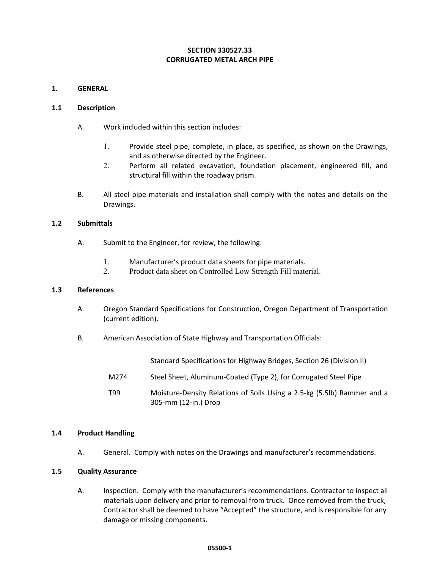#### **SECTION 330527.33 CORRUGATED METAL ARCH PIPE**

#### **1. GENERAL**

#### **1.1 Description**

- A. Work included within this section includes:
	- 1. Provide steel pipe, complete, in place, as specified, as shown on the Drawings, and as otherwise directed by the Engineer.
	- 2. Perform all related excavation, foundation placement, engineered fill, and structural fill within the roadway prism.
- B. All steel pipe materials and installation shall comply with the notes and details on the Drawings.

#### **1.2 Submittals**

- A. Submit to the Engineer, for review, the following:
	- 1. Manufacturer's product data sheets for pipe materials.
	- 2. Product data sheet on Controlled Low Strength Fill material.

#### **1.3 References**

- A. Oregon Standard Specifications for Construction, Oregon Department of Transportation (current edition).
- B. American Association of State Highway and Transportation Officials:

Standard Specifications for Highway Bridges, Section 26 (Division II)

- M274 Steel Sheet, Aluminum‐Coated (Type 2), for Corrugated Steel Pipe
- T99 Moisture‐Density Relations of Soils Using a 2.5‐kg (5.5lb) Rammer and a 305‐mm (12‐in.) Drop

#### **1.4 Product Handling**

A. General. Comply with notes on the Drawings and manufacturer's recommendations.

#### **1.5 Quality Assurance**

A. Inspection. Comply with the manufacturer's recommendations. Contractor to inspect all materials upon delivery and prior to removal from truck. Once removed from the truck, Contractor shall be deemed to have "Accepted" the structure, and is responsible for any damage or missing components.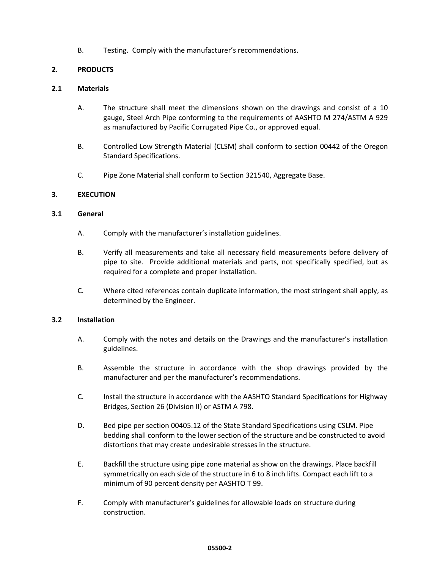B. Testing. Comply with the manufacturer's recommendations.

#### **2. PRODUCTS**

#### **2.1 Materials**

- A. The structure shall meet the dimensions shown on the drawings and consist of a 10 gauge, Steel Arch Pipe conforming to the requirements of AASHTO M 274/ASTM A 929 as manufactured by Pacific Corrugated Pipe Co., or approved equal.
- B. Controlled Low Strength Material (CLSM) shall conform to section 00442 of the Oregon Standard Specifications.
- C. Pipe Zone Material shall conform to Section 321540, Aggregate Base.

#### **3. EXECUTION**

#### **3.1 General**

- A. Comply with the manufacturer's installation guidelines.
- B. Verify all measurements and take all necessary field measurements before delivery of pipe to site. Provide additional materials and parts, not specifically specified, but as required for a complete and proper installation.
- C. Where cited references contain duplicate information, the most stringent shall apply, as determined by the Engineer.

#### **3.2 Installation**

- A. Comply with the notes and details on the Drawings and the manufacturer's installation guidelines.
- B. Assemble the structure in accordance with the shop drawings provided by the manufacturer and per the manufacturer's recommendations.
- C. Install the structure in accordance with the AASHTO Standard Specifications for Highway Bridges, Section 26 (Division II) or ASTM A 798.
- D. Bed pipe per section 00405.12 of the State Standard Specifications using CSLM. Pipe bedding shall conform to the lower section of the structure and be constructed to avoid distortions that may create undesirable stresses in the structure.
- E. Backfill the structure using pipe zone material as show on the drawings. Place backfill symmetrically on each side of the structure in 6 to 8 inch lifts. Compact each lift to a minimum of 90 percent density per AASHTO T 99.
- F. Comply with manufacturer's guidelines for allowable loads on structure during construction.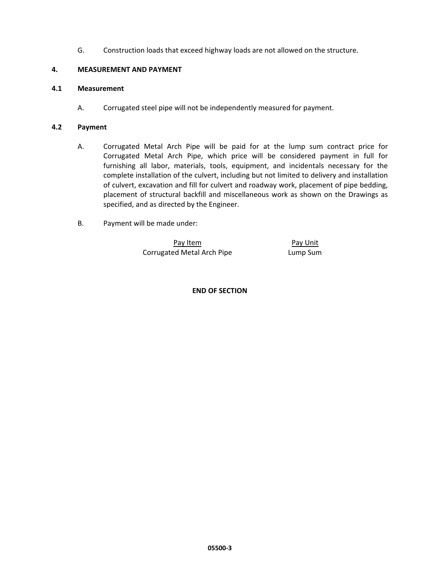G. Construction loads that exceed highway loads are not allowed on the structure.

#### **4. MEASUREMENT AND PAYMENT**

#### **4.1 Measurement**

A. Corrugated steel pipe will not be independently measured for payment.

#### **4.2 Payment**

- A. Corrugated Metal Arch Pipe will be paid for at the lump sum contract price for Corrugated Metal Arch Pipe, which price will be considered payment in full for furnishing all labor, materials, tools, equipment, and incidentals necessary for the complete installation of the culvert, including but not limited to delivery and installation of culvert, excavation and fill for culvert and roadway work, placement of pipe bedding, placement of structural backfill and miscellaneous work as shown on the Drawings as specified, and as directed by the Engineer.
- B. Payment will be made under:

Pay Item Pay Unit Corrugated Metal Arch Pipe Lump Sum

**END OF SECTION**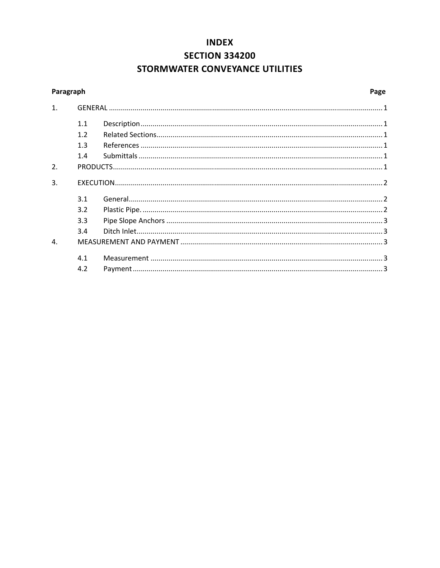# **INDEX SECTION 334200**

## **STORMWATER CONVEYANCE UTILITIES**

#### Paragraph

| 1. |     |  |
|----|-----|--|
|    | 1.1 |  |
|    | 1.2 |  |
|    | 1.3 |  |
|    | 1.4 |  |
| 2. |     |  |
| 3. |     |  |
|    | 3.1 |  |
|    | 3.2 |  |
|    | 3.3 |  |
|    | 3.4 |  |
| 4. |     |  |
|    | 4.1 |  |
|    | 4.2 |  |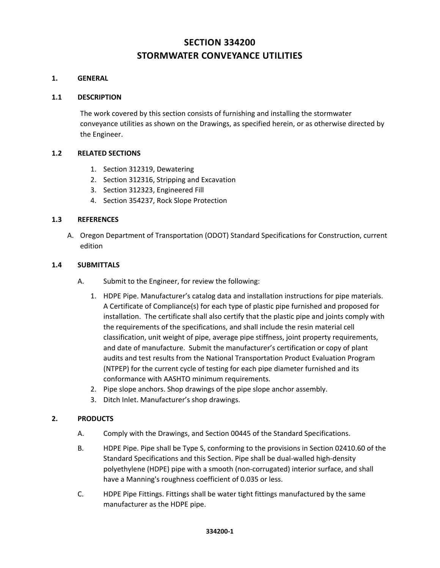### **SECTION 334200 STORMWATER CONVEYANCE UTILITIES**

#### **1. GENERAL**

#### **1.1 DESCRIPTION**

The work covered by this section consists of furnishing and installing the stormwater conveyance utilities as shown on the Drawings, as specified herein, or as otherwise directed by the Engineer.

#### **1.2 RELATED SECTIONS**

- 1. Section 312319, Dewatering
- 2. Section 312316, Stripping and Excavation
- 3. Section 312323, Engineered Fill
- 4. Section 354237, Rock Slope Protection

#### **1.3 REFERENCES**

A. Oregon Department of Transportation (ODOT) Standard Specifications for Construction, current edition

#### **1.4 SUBMITTALS**

- A. Submit to the Engineer, for review the following:
	- 1. HDPE Pipe. Manufacturer's catalog data and installation instructions for pipe materials. A Certificate of Compliance(s) for each type of plastic pipe furnished and proposed for installation. The certificate shall also certify that the plastic pipe and joints comply with the requirements of the specifications, and shall include the resin material cell classification, unit weight of pipe, average pipe stiffness, joint property requirements, and date of manufacture. Submit the manufacturer's certification or copy of plant audits and test results from the National Transportation Product Evaluation Program (NTPEP) for the current cycle of testing for each pipe diameter furnished and its conformance with AASHTO minimum requirements.
	- 2. Pipe slope anchors. Shop drawings of the pipe slope anchor assembly.
	- 3. Ditch Inlet. Manufacturer's shop drawings.

#### **2. PRODUCTS**

- A. Comply with the Drawings, and Section 00445 of the Standard Specifications.
- B. HDPE Pipe. Pipe shall be Type S, conforming to the provisions in Section 02410.60 of the Standard Specifications and this Section. Pipe shall be dual‐walled high‐density polyethylene (HDPE) pipe with a smooth (non‐corrugated) interior surface, and shall have a Manning's roughness coefficient of 0.035 or less.
- C. HDPE Pipe Fittings. Fittings shall be water tight fittings manufactured by the same manufacturer as the HDPE pipe.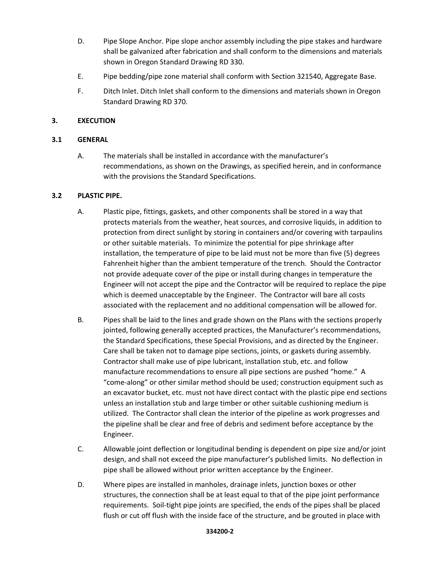- D. Pipe Slope Anchor. Pipe slope anchor assembly including the pipe stakes and hardware shall be galvanized after fabrication and shall conform to the dimensions and materials shown in Oregon Standard Drawing RD 330.
- E. Pipe bedding/pipe zone material shall conform with Section 321540, Aggregate Base.
- F. Ditch Inlet. Ditch Inlet shall conform to the dimensions and materials shown in Oregon Standard Drawing RD 370.

#### **3. EXECUTION**

#### **3.1 GENERAL**

A. The materials shall be installed in accordance with the manufacturer's recommendations, as shown on the Drawings, as specified herein, and in conformance with the provisions the Standard Specifications.

#### **3.2 PLASTIC PIPE.**

- A. Plastic pipe, fittings, gaskets, and other components shall be stored in a way that protects materials from the weather, heat sources, and corrosive liquids, in addition to protection from direct sunlight by storing in containers and/or covering with tarpaulins or other suitable materials. To minimize the potential for pipe shrinkage after installation, the temperature of pipe to be laid must not be more than five (5) degrees Fahrenheit higher than the ambient temperature of the trench. Should the Contractor not provide adequate cover of the pipe or install during changes in temperature the Engineer will not accept the pipe and the Contractor will be required to replace the pipe which is deemed unacceptable by the Engineer. The Contractor will bare all costs associated with the replacement and no additional compensation will be allowed for.
- B. Pipes shall be laid to the lines and grade shown on the Plans with the sections properly jointed, following generally accepted practices, the Manufacturer's recommendations, the Standard Specifications, these Special Provisions, and as directed by the Engineer. Care shall be taken not to damage pipe sections, joints, or gaskets during assembly. Contractor shall make use of pipe lubricant, installation stub, etc. and follow manufacture recommendations to ensure all pipe sections are pushed "home." A "come‐along" or other similar method should be used; construction equipment such as an excavator bucket, etc. must not have direct contact with the plastic pipe end sections unless an installation stub and large timber or other suitable cushioning medium is utilized. The Contractor shall clean the interior of the pipeline as work progresses and the pipeline shall be clear and free of debris and sediment before acceptance by the Engineer.
- C. Allowable joint deflection or longitudinal bending is dependent on pipe size and/or joint design, and shall not exceed the pipe manufacturer's published limits. No deflection in pipe shall be allowed without prior written acceptance by the Engineer.
- D. Where pipes are installed in manholes, drainage inlets, junction boxes or other structures, the connection shall be at least equal to that of the pipe joint performance requirements. Soil‐tight pipe joints are specified, the ends of the pipes shall be placed flush or cut off flush with the inside face of the structure, and be grouted in place with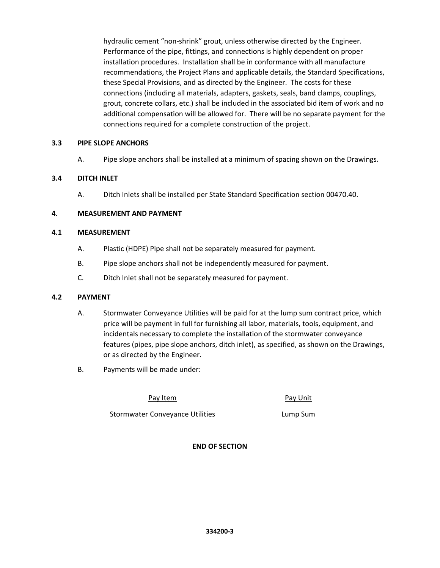hydraulic cement "non‐shrink" grout, unless otherwise directed by the Engineer. Performance of the pipe, fittings, and connections is highly dependent on proper installation procedures. Installation shall be in conformance with all manufacture recommendations, the Project Plans and applicable details, the Standard Specifications, these Special Provisions, and as directed by the Engineer. The costs for these connections (including all materials, adapters, gaskets, seals, band clamps, couplings, grout, concrete collars, etc.) shall be included in the associated bid item of work and no additional compensation will be allowed for. There will be no separate payment for the connections required for a complete construction of the project.

#### **3.3 PIPE SLOPE ANCHORS**

A. Pipe slope anchors shall be installed at a minimum of spacing shown on the Drawings.

#### **3.4 DITCH INLET**

A. Ditch Inlets shall be installed per State Standard Specification section 00470.40.

#### **4. MEASUREMENT AND PAYMENT**

#### **4.1 MEASUREMENT**

- A. Plastic (HDPE) Pipe shall not be separately measured for payment.
- B. Pipe slope anchors shall not be independently measured for payment.
- C. Ditch Inlet shall not be separately measured for payment.

#### **4.2 PAYMENT**

- A. Stormwater Conveyance Utilities will be paid for at the lump sum contract price, which price will be payment in full for furnishing all labor, materials, tools, equipment, and incidentals necessary to complete the installation of the stormwater conveyance features (pipes, pipe slope anchors, ditch inlet), as specified, as shown on the Drawings, or as directed by the Engineer.
- B. Payments will be made under:

Pay Item **Pay Unit** 

Stormwater Conveyance Utilities **Example 20 Fig. 2018** Lump Sum

#### **END OF SECTION**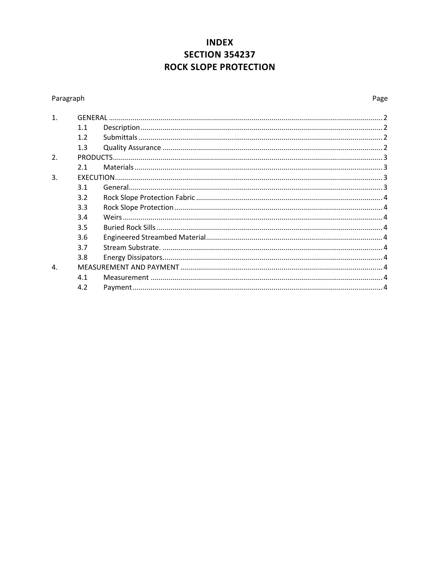### **INDEX SECTION 354237 ROCK SLOPE PROTECTION**

#### Paragraph

| $\mathbf{1}$     |     |  |
|------------------|-----|--|
|                  | 1.1 |  |
|                  | 1.2 |  |
|                  | 1.3 |  |
| $\overline{2}$ . |     |  |
|                  | 2.1 |  |
| 3.               |     |  |
|                  | 3.1 |  |
|                  | 3.2 |  |
|                  | 3.3 |  |
|                  | 3.4 |  |
|                  | 3.5 |  |
|                  | 3.6 |  |
|                  | 3.7 |  |
|                  | 3.8 |  |
| 4.               |     |  |
|                  | 4.1 |  |
|                  | 4.2 |  |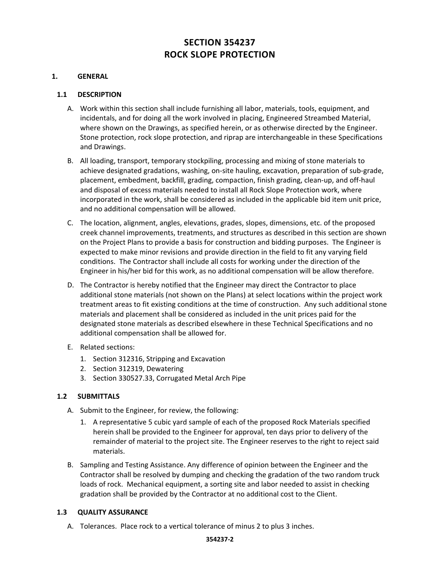### **SECTION 354237 ROCK SLOPE PROTECTION**

#### **1. GENERAL**

#### **1.1 DESCRIPTION**

- A. Work within this section shall include furnishing all labor, materials, tools, equipment, and incidentals, and for doing all the work involved in placing, Engineered Streambed Material, where shown on the Drawings, as specified herein, or as otherwise directed by the Engineer. Stone protection, rock slope protection, and riprap are interchangeable in these Specifications and Drawings.
- B. All loading, transport, temporary stockpiling, processing and mixing of stone materials to achieve designated gradations, washing, on‐site hauling, excavation, preparation of sub‐grade, placement, embedment, backfill, grading, compaction, finish grading, clean‐up, and off‐haul and disposal of excess materials needed to install all Rock Slope Protection work, where incorporated in the work, shall be considered as included in the applicable bid item unit price, and no additional compensation will be allowed.
- C. The location, alignment, angles, elevations, grades, slopes, dimensions, etc. of the proposed creek channel improvements, treatments, and structures as described in this section are shown on the Project Plans to provide a basis for construction and bidding purposes. The Engineer is expected to make minor revisions and provide direction in the field to fit any varying field conditions. The Contractor shall include all costs for working under the direction of the Engineer in his/her bid for this work, as no additional compensation will be allow therefore.
- D. The Contractor is hereby notified that the Engineer may direct the Contractor to place additional stone materials (not shown on the Plans) at select locations within the project work treatment areas to fit existing conditions at the time of construction. Any such additional stone materials and placement shall be considered as included in the unit prices paid for the designated stone materials as described elsewhere in these Technical Specifications and no additional compensation shall be allowed for.
- E. Related sections:
	- 1. Section 312316, Stripping and Excavation
	- 2. Section 312319, Dewatering
	- 3. Section 330527.33, Corrugated Metal Arch Pipe

#### **1.2 SUBMITTALS**

- A. Submit to the Engineer, for review, the following:
	- 1. A representative 5 cubic yard sample of each of the proposed Rock Materials specified herein shall be provided to the Engineer for approval, ten days prior to delivery of the remainder of material to the project site. The Engineer reserves to the right to reject said materials.
- B. Sampling and Testing Assistance. Any difference of opinion between the Engineer and the Contractor shall be resolved by dumping and checking the gradation of the two random truck loads of rock. Mechanical equipment, a sorting site and labor needed to assist in checking gradation shall be provided by the Contractor at no additional cost to the Client.

#### **1.3 QUALITY ASSURANCE**

A. Tolerances. Place rock to a vertical tolerance of minus 2 to plus 3 inches.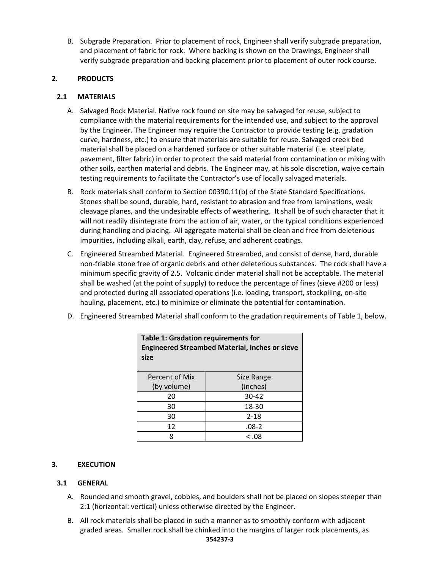B. Subgrade Preparation. Prior to placement of rock, Engineer shall verify subgrade preparation, and placement of fabric for rock. Where backing is shown on the Drawings, Engineer shall verify subgrade preparation and backing placement prior to placement of outer rock course.

#### **2. PRODUCTS**

#### **2.1 MATERIALS**

- A. Salvaged Rock Material. Native rock found on site may be salvaged for reuse, subject to compliance with the material requirements for the intended use, and subject to the approval by the Engineer. The Engineer may require the Contractor to provide testing (e.g. gradation curve, hardness, etc.) to ensure that materials are suitable for reuse. Salvaged creek bed material shall be placed on a hardened surface or other suitable material (i.e. steel plate, pavement, filter fabric) in order to protect the said material from contamination or mixing with other soils, earthen material and debris. The Engineer may, at his sole discretion, waive certain testing requirements to facilitate the Contractor's use of locally salvaged materials.
- B. Rock materials shall conform to Section 00390.11(b) of the State Standard Specifications. Stones shall be sound, durable, hard, resistant to abrasion and free from laminations, weak cleavage planes, and the undesirable effects of weathering. It shall be of such character that it will not readily disintegrate from the action of air, water, or the typical conditions experienced during handling and placing. All aggregate material shall be clean and free from deleterious impurities, including alkali, earth, clay, refuse, and adherent coatings.
- C. Engineered Streambed Material. Engineered Streambed, and consist of dense, hard, durable non‐friable stone free of organic debris and other deleterious substances. The rock shall have a minimum specific gravity of 2.5. Volcanic cinder material shall not be acceptable. The material shall be washed (at the point of supply) to reduce the percentage of fines (sieve #200 or less) and protected during all associated operations (i.e. loading, transport, stockpiling, on‐site hauling, placement, etc.) to minimize or eliminate the potential for contamination.

| D. Engineered Streambed Material shall conform to the gradation requirements of Table 1, below |
|------------------------------------------------------------------------------------------------|
|                                                                                                |

| <b>Table 1: Gradation requirements for</b><br><b>Engineered Streambed Material, inches or sieve</b><br>size |            |  |  |
|-------------------------------------------------------------------------------------------------------------|------------|--|--|
| Percent of Mix                                                                                              | Size Range |  |  |
| (by volume)                                                                                                 | (inches)   |  |  |
| 20                                                                                                          | 30-42      |  |  |
| 30                                                                                                          | 18-30      |  |  |
| 30                                                                                                          | $2 - 18$   |  |  |
| 12<br>$.08-2$                                                                                               |            |  |  |
| Ջ                                                                                                           | < .08      |  |  |

#### **3. EXECUTION**

#### **3.1 GENERAL**

- A. Rounded and smooth gravel, cobbles, and boulders shall not be placed on slopes steeper than 2:1 (horizontal: vertical) unless otherwise directed by the Engineer.
- B. All rock materials shall be placed in such a manner as to smoothly conform with adjacent graded areas. Smaller rock shall be chinked into the margins of larger rock placements, as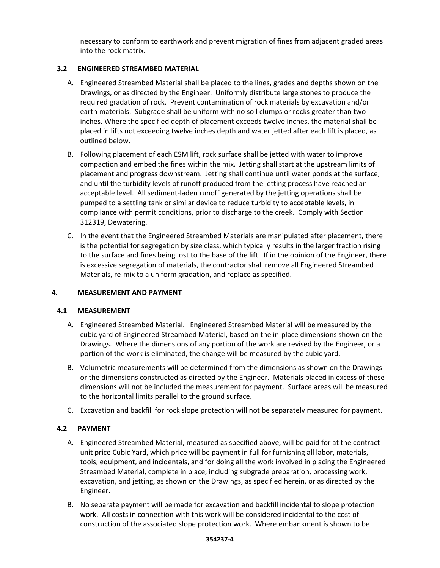necessary to conform to earthwork and prevent migration of fines from adjacent graded areas into the rock matrix.

#### **3.2 ENGINEERED STREAMBED MATERIAL**

- A. Engineered Streambed Material shall be placed to the lines, grades and depths shown on the Drawings, or as directed by the Engineer. Uniformly distribute large stones to produce the required gradation of rock. Prevent contamination of rock materials by excavation and/or earth materials. Subgrade shall be uniform with no soil clumps or rocks greater than two inches. Where the specified depth of placement exceeds twelve inches, the material shall be placed in lifts not exceeding twelve inches depth and water jetted after each lift is placed, as outlined below.
- B. Following placement of each ESM lift, rock surface shall be jetted with water to improve compaction and embed the fines within the mix. Jetting shall start at the upstream limits of placement and progress downstream. Jetting shall continue until water ponds at the surface, and until the turbidity levels of runoff produced from the jetting process have reached an acceptable level. All sediment‐laden runoff generated by the jetting operations shall be pumped to a settling tank or similar device to reduce turbidity to acceptable levels, in compliance with permit conditions, prior to discharge to the creek. Comply with Section 312319, Dewatering.
- C. In the event that the Engineered Streambed Materials are manipulated after placement, there is the potential for segregation by size class, which typically results in the larger fraction rising to the surface and fines being lost to the base of the lift. If in the opinion of the Engineer, there is excessive segregation of materials, the contractor shall remove all Engineered Streambed Materials, re‐mix to a uniform gradation, and replace as specified.

#### **4. MEASUREMENT AND PAYMENT**

#### **4.1 MEASUREMENT**

- A. Engineered Streambed Material. Engineered Streambed Material will be measured by the cubic yard of Engineered Streambed Material, based on the in‐place dimensions shown on the Drawings. Where the dimensions of any portion of the work are revised by the Engineer, or a portion of the work is eliminated, the change will be measured by the cubic yard.
- B. Volumetric measurements will be determined from the dimensions as shown on the Drawings or the dimensions constructed as directed by the Engineer. Materials placed in excess of these dimensions will not be included the measurement for payment. Surface areas will be measured to the horizontal limits parallel to the ground surface.
- C. Excavation and backfill for rock slope protection will not be separately measured for payment.

#### **4.2 PAYMENT**

- A. Engineered Streambed Material, measured as specified above, will be paid for at the contract unit price Cubic Yard, which price will be payment in full for furnishing all labor, materials, tools, equipment, and incidentals, and for doing all the work involved in placing the Engineered Streambed Material, complete in place, including subgrade preparation, processing work, excavation, and jetting, as shown on the Drawings, as specified herein, or as directed by the Engineer.
- B. No separate payment will be made for excavation and backfill incidental to slope protection work. All costs in connection with this work will be considered incidental to the cost of construction of the associated slope protection work. Where embankment is shown to be